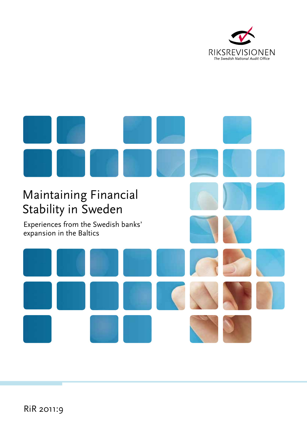

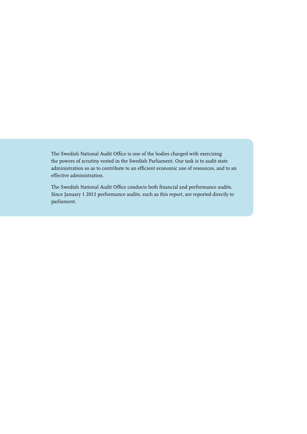The Swedish National Audit Office is one of the bodies charged with exercising the powers of scrutiny vested in the Swedish Parliament. Our task is to audit state administration so as to contribute to an efficient economic use of resources, and to an effective administration.

The Swedish National Audit Office conducts both financial and performance audits. Since January 1 2011 performance audits, such as this report, are reported directly to parliament.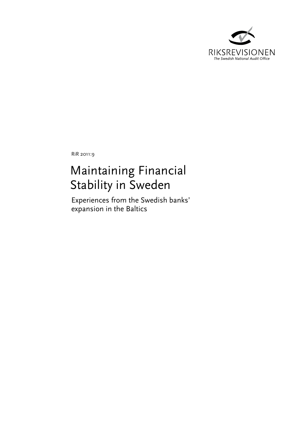

RiR 2011:9

# Maintaining Financial Stability in Sweden

Experiences from the Swedish banks' expansion in the Baltics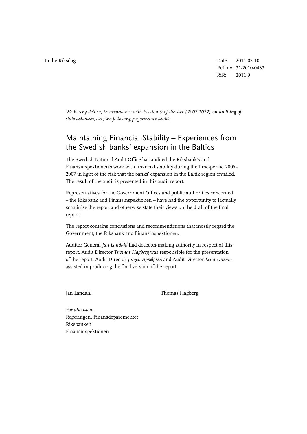To the Riksdag Date: 2011-02-10 Ref. no: 31-2010-0433 RiR: 2011:9

*We hereby deliver, in accordance with Section 9 of the Act (2002:1022) on auditing of state activities, etc., the following performance audit:*

### Maintaining Financial Stability – Experiences from the Swedish banks' expansion in the Baltics

The Swedish National Audit Office has audited the Riksbank's and Finansinspektionen's work with financial stability during the time-period 2005– 2007 in light of the risk that the banks' expansion in the Baltik region entailed. The result of the audit is presented in this audit report.

Representatives for the Government Offices and public authorities concerned – the Riksbank and Finansinspektionen – have had the opportunity to factually scrutinise the report and otherwise state their views on the draft of the final report.

The report contains conclusions and recommendations that mostly regard the Government, the Riksbank and Finansinspektionen.

Auditor General *Jan Landahl* had decision-making authority in respect of this report. Audit Director *Thomas Hagberg* was responsible for the presentation of the report. Audit Director *Jörgen Appelgren* and Audit Director *Lena Unemo* assisted in producing the final version of the report.

Jan Landahl Thomas Hagberg

*For attention:* Regeringen, Finansdeparementet Riksbanken Finansinspektionen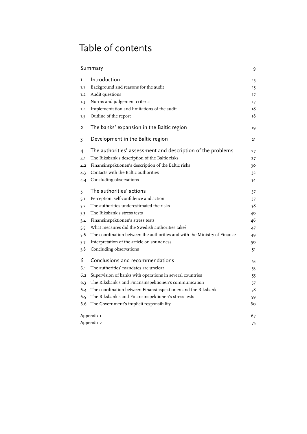## Table of contents

| Summary      |                                                                           | 9        |
|--------------|---------------------------------------------------------------------------|----------|
| L<br>1.1     | Introduction<br>Background and reasons for the audit                      | 15<br>15 |
| 1.2          | Audit questions                                                           | 17       |
| 1.3          | Norms and judgement criteria                                              | 17       |
| 1.4          | Implementation and limitations of the audit                               | 18       |
| 1.5          | Outline of the report                                                     | 18       |
| $\mathbf{2}$ | The banks' expansion in the Baltic region                                 | 19       |
| 3            | Development in the Baltic region                                          | 21       |
| 4            | The authorities' assessment and description of the problems               | 27       |
| 4.1          | The Riksbank's description of the Baltic risks                            | 27       |
| 4.2          | Finansinspektionen's description of the Baltic risks                      | 30       |
| 4.3          | Contacts with the Baltic authorities                                      | 32       |
| 4.4          | Concluding observations                                                   | 34       |
| 5            | The authorities' actions                                                  | 37       |
| 5.1          | Perception, self-confidence and action                                    | 37       |
| 5.2          | The authorities underestimated the risks                                  | 38       |
| 5.3          | The Riksbank's stress tests                                               | 40       |
| 5.4          | Finansinspektionen's stress tests                                         | 46       |
| 5.5          | What measures did the Swedish authorities take?                           | 47       |
| 5.6          | The coordination between the authorities and with the Ministry of Finance | 49       |
| 5.7          | Interpretation of the article on soundness                                | 50       |
| 5.8          | Concluding observations                                                   | 51       |
| 6            | Conclusions and recommendations                                           | 53       |
| 6.1          | The authorities' mandates are unclear                                     | 53       |
| 6.2          | Supervision of banks with operations in several countries                 | 55       |
| 6.3          | The Riksbank's and Finansinspektionen's communication                     | 57       |
| 6.4          | The coordination between Finansinspektionen and the Riksbank              | 58       |
| 6.5          | The Riksbank's and Finansinspektionen's stress tests                      | 59       |
| 6.6          | The Government's implicit responsibility                                  | 60       |
| Appendix 1   |                                                                           | 67       |
| Appendix 2   |                                                                           | 75       |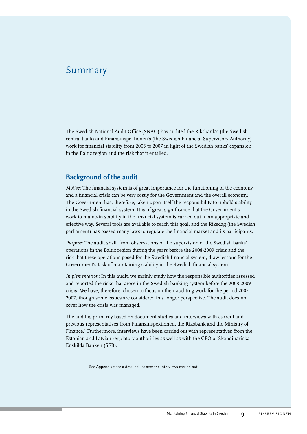### <span id="page-8-0"></span>Summary

The Swedish National Audit Office (SNAO) has audited the Riksbank's (the Swedish central bank) and Finansinspektionen's (the Swedish Financial Supervisory Authority) work for financial stability from 2005 to 2007 in light of the Swedish banks' expansion in the Baltic region and the risk that it entailed.

#### **Background of the audit**

*Motive*: The financial system is of great importance for the functioning of the economy and a financial crisis can be very costly for the Government and the overall economy. The Government has, therefore, taken upon itself the responsibility to uphold stability in the Swedish financial system. It is of great significance that the Government's work to maintain stability in the financial system is carried out in an appropriate and effective way. Several tools are available to reach this goal, and the Riksdag (the Swedish parliament) has passed many laws to regulate the financial market and its participants.

*Purpose*: The audit shall, from observations of the supervision of the Swedish banks' operations in the Baltic region during the years before the 2008-2009 crisis and the risk that these operations posed for the Swedish financial system, draw lessons for the Government's task of maintaining stability in the Swedish financial system.

*Implementation*: In this audit, we mainly study how the responsible authorities assessed and reported the risks that arose in the Swedish banking system before the 2008-2009 crisis. We have, therefore, chosen to focus on their auditing work for the period 2005- 2007, though some issues are considered in a longer perspective. The audit does not cover how the crisis was managed.

The audit is primarily based on document studies and interviews with current and previous representatives from Finansinspektionen, the Riksbank and the Ministry of Finance.<sup>1</sup> Furthermore, interviews have been carried out with representatives from the Estonian and Latvian regulatory authorities as well as with the CEO of Skandinaviska Enskilda Banken (SEB).

<sup>&</sup>lt;sup>1</sup> See Appendix 2 for a detailed list over the interviews carried out.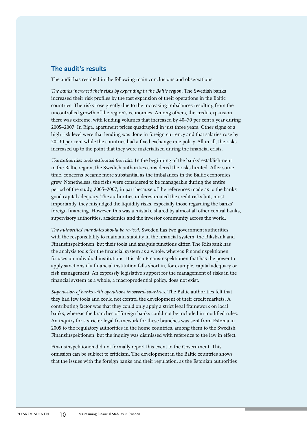#### **The audit's results**

The audit has resulted in the following main conclusions and observations:

*The banks increased their risks by expanding in the Baltic region*. The Swedish banks increased their risk profiles by the fast expansion of their operations in the Baltic countries. The risks rose greatly due to the increasing imbalances resulting from the uncontrolled growth of the region's economies. Among others, the credit expansion there was extreme, with lending volumes that increased by 40–70 per cent a year during 2005–2007. In Riga, apartment prices quadrupled in just three years. Other signs of a high risk level were that lending was done in foreign currency and that salaries rose by 20–30 per cent while the countries had a fixed exchange rate policy. All in all, the risks increased up to the point that they were materialised during the financial crisis.

*The authorities underestimated the risks*. In the beginning of the banks' establishment in the Baltic region, the Swedish authorities considered the risks limited. After some time, concerns became more substantial as the imbalances in the Baltic economies grew. Nonetheless, the risks were considered to be manageable during the entire period of the study, 2005–2007, in part because of the references made as to the banks' good capital adequacy. The authorities underestimated the credit risks but, most importantly, they misjudged the liquidity risks, especially those regarding the banks' foreign financing. However, this was a mistake shared by almost all other central banks, supervisory authorities, academics and the investor community across the world.

*The authorities' mandates should be revised*. Sweden has two government authorities with the responsibility to maintain stability in the financial system, the Riksbank and Finansinspektionen, but their tools and analysis functions differ. The Riksbank has the analysis tools for the financial system as a whole, whereas Finansinspektionen focuses on individual institutions. It is also Finansinspektionen that has the power to apply sanctions if a financial institution falls short in, for example, capital adequacy or risk management. An expressly legislative support for the management of risks in the financial system as a whole, a macroprudential policy, does not exist.

*Supervision of banks with operations in several countries.* The Baltic authorities felt that they had few tools and could not control the development of their credit markets. A contributing factor was that they could only apply a strict legal framework on local banks, whereas the branches of foreign banks could not be included in modified rules. An inquiry for a stricter legal framework for these branches was sent from Estonia in 2005 to the regulatory authorities in the home countries, among them to the Swedish Finansinspektionen, but the inquiry was dismissed with reference to the law in effect.

Finansinspektionen did not formally report this event to the Government. This omission can be subject to criticism. The development in the Baltic countries shows that the issues with the foreign banks and their regulation, as the Estonian authorities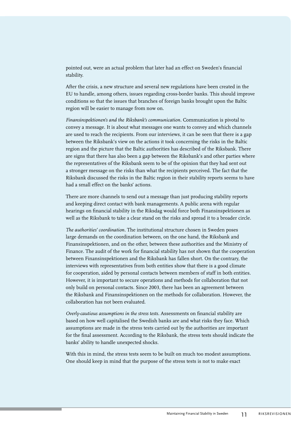pointed out, were an actual problem that later had an effect on Sweden's financial stability.

After the crisis, a new structure and several new regulations have been created in the EU to handle, among others, issues regarding cross-border banks. This should improve conditions so that the issues that branches of foreign banks brought upon the Baltic region will be easier to manage from now on.

*Finansinspektionen's and the Riksbank's communication.* Communication is pivotal to convey a message. It is about what messages one wants to convey and which channels are used to reach the recipients. From our interviews, it can be seen that there is a gap between the Riksbank's view on the actions it took concerning the risks in the Baltic region and the picture that the Baltic authorities has described of the Riksbank. There are signs that there has also been a gap between the Riksbank's and other parties where the representatives of the Riksbank seem to be of the opinion that they had sent out a stronger message on the risks than what the recipients perceived. The fact that the Riksbank discussed the risks in the Baltic region in their stability reports seems to have had a small effect on the banks' actions.

There are more channels to send out a message than just producing stability reports and keeping direct contact with bank managements. A public arena with regular hearings on financial stability in the Riksdag would force both Finansinspektionen as well as the Riksbank to take a clear stand on the risks and spread it to a broader circle.

*The authorities' coordination.* The institutional structure chosen in Sweden poses large demands on the coordination between, on the one hand, the Riksbank and Finansinspektionen, and on the other, between these authorities and the Ministry of Finance. The audit of the work for financial stability has not shown that the cooperation between Finansinspektionen and the Riksbank has fallen short. On the contrary, the interviews with representatives from both entities show that there is a good climate for cooperation, aided by personal contacts between members of staff in both entities. However, it is important to secure operations and methods for collaboration that not only build on personal contacts. Since 2003, there has been an agreement between the Riksbank and Finansinspektionen on the methods for collaboration. However, the collaboration has not been evaluated.

*Overly-cautious assumptions in the stress tests.* Assessments on financial stability are based on how well capitalised the Swedish banks are and what risks they face. Which assumptions are made in the stress tests carried out by the authorities are important for the final assessment. According to the Riksbank, the stress tests should indicate the banks' ability to handle unexpected shocks.

With this in mind, the stress tests seem to be built on much too modest assumptions. One should keep in mind that the purpose of the stress tests is not to make exact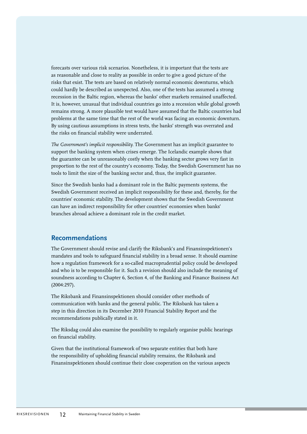forecasts over various risk scenarios. Nonetheless, it is important that the tests are as reasonable and close to reality as possible in order to give a good picture of the risks that exist. The tests are based on relatively normal economic downturns, which could hardly be described as unexpected. Also, one of the tests has assumed a strong recession in the Baltic region, whereas the banks' other markets remained unaffected. It is, however, unusual that individual countries go into a recession while global growth remains strong. A more plausible test would have assumed that the Baltic countries had problems at the same time that the rest of the world was facing an economic downturn. By using cautious assumptions in stress tests, the banks' strength was overrated and the risks on financial stability were underrated.

*The Government's implicit responsibility.* The Government has an implicit guarantee to support the banking system when crises emerge. The Icelandic example shows that the guarantee can be unreasonably costly when the banking sector grows very fast in proportion to the rest of the country's economy. Today, the Swedish Government has no tools to limit the size of the banking sector and, thus, the implicit guarantee.

Since the Swedish banks had a dominant role in the Baltic payments systems, the Swedish Government received an implicit responsibility for these and, thereby, for the countries' economic stability. The development shows that the Swedish Government can have an indirect responsibility for other countries' economies when banks' branches abroad achieve a dominant role in the credit market.

#### **Recommendations**

The Government should revise and clarify the Riksbank's and Finansinspektionen's mandates and tools to safeguard financial stability in a broad sense. It should examine how a regulation framework for a so-called macroprudential policy could be developed and who is to be responsible for it. Such a revision should also include the meaning of soundness according to Chapter 6, Section 4, of the Banking and Finance Business Act (2004:297).

The Riksbank and Finansinspektionen should consider other methods of communication with banks and the general public. The Riksbank has taken a step in this direction in its December 2010 Financial Stability Report and the recommendations publically stated in it.

The Riksdag could also examine the possibility to regularly organise public hearings on financial stability.

Given that the institutional framework of two separate entities that both have the responsibility of upholding financial stability remains, the Riksbank and Finansinspektionen should continue their close cooperation on the various aspects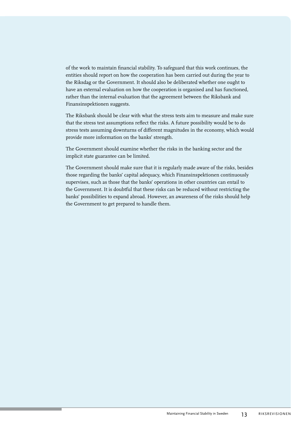of the work to maintain financial stability. To safeguard that this work continues, the entities should report on how the cooperation has been carried out during the year to the Riksdag or the Government. It should also be deliberated whether one ought to have an external evaluation on how the cooperation is organised and has functioned, rather than the internal evaluation that the agreement between the Riksbank and Finansinspektionen suggests.

The Riksbank should be clear with what the stress tests aim to measure and make sure that the stress test assumptions reflect the risks. A future possibility would be to do stress tests assuming downturns of different magnitudes in the economy, which would provide more information on the banks' strength.

The Government should examine whether the risks in the banking sector and the implicit state guarantee can be limited.

The Government should make sure that it is regularly made aware of the risks, besides those regarding the banks' capital adequacy, which Finansinspektionen continuously supervises, such as those that the banks' operations in other countries can entail to the Government. It is doubtful that these risks can be reduced without restricting the banks' possibilities to expand abroad. However, an awareness of the risks should help the Government to get prepared to handle them.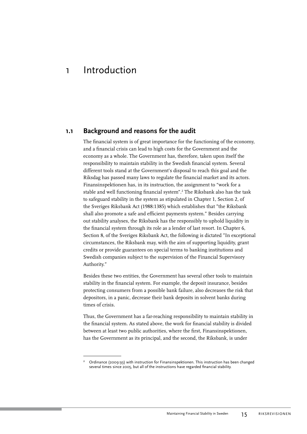### <span id="page-14-0"></span>1 Introduction

#### **1.1 Background and reasons for the audit**

The financial system is of great importance for the functioning of the economy, and a financial crisis can lead to high costs for the Government and the economy as a whole. The Government has, therefore, taken upon itself the responsibility to maintain stability in the Swedish financial system. Several different tools stand at the Government's disposal to reach this goal and the Riksdag has passed many laws to regulate the financial market and its actors. Finansinspektionen has, in its instruction, the assignment to "work for a stable and well functioning financial system".2 The Riksbank also has the task to safeguard stability in the system as stipulated in Chapter 1, Section 2, of the Sveriges Riksbank Act (1988:1385) which establishes that "the Riksbank shall also promote a safe and efficient payments system." Besides carrying out stability analyses, the Riksbank has the responsibly to uphold liquidity in the financial system through its role as a lender of last resort. In Chapter 6, Section 8, of the Sveriges Riksbank Act, the following is dictated "In exceptional circumstances, the Riksbank may, with the aim of supporting liquidity, grant credits or provide guarantees on special terms to banking institutions and Swedish companies subject to the supervision of the Financial Supervisory Authority."

Besides these two entities, the Government has several other tools to maintain stability in the financial system. For example, the deposit insurance, besides protecting consumers from a possible bank failure, also decreases the risk that depositors, in a panic, decrease their bank deposits in solvent banks during times of crisis.

Thus, the Government has a far-reaching responsibility to maintain stability in the financial system. As stated above, the work for financial stability is divided between at least two public authorities, where the first, Finansinspektionen, has the Government as its principal, and the second, the Riksbank, is under

<sup>2</sup> Ordinance (2009:93) with instruction for Finansinspektionen. This instruction has been changed several times since 2005, but all of the instructions have regarded financial stability.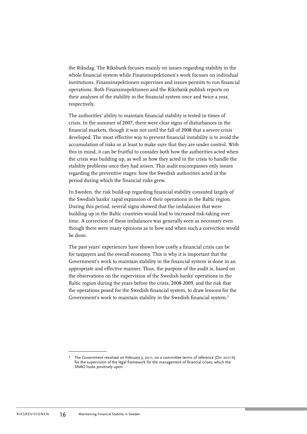the Riksdag. The Riksbank focuses mainly on issues regarding stability in the whole financial system while Finansinspektionen's work focuses on individual institutions. Finansinspektionen supervises and issues permits to run financial operations. Both Finansinspektionen and the Riksbank publish reports on their analyses of the stability in the financial system once and twice a year, respectively.

The authorities' ability to maintain financial stability is tested in times of crisis. In the summer of 2007, there were clear signs of disturbances in the financial markets, though it was not until the fall of 2008 that a severe crisis developed. The most effective way to prevent financial instability is to avoid the accumulation of risks or at least to make sure that they are under control. With this in mind, it can be fruitful to consider both how the authorities acted when the crisis was building up, as well as how they acted in the crisis to handle the stability problems once they had arisen. This audit encompasses only issues regarding the preventive stages: how the Swedish authorities acted in the period during which the financial risks grew.

In Sweden, the risk build-up regarding financial stability consisted largely of the Swedish banks' rapid expansion of their operations in the Baltic region. During this period, several signs showed that the imbalances that were building up in the Baltic countries would lead to increased risk-taking over time. A correction of these imbalances was generally seen as necessary even though there were many opinions as to how and when such a correction would be done.

The past years' experiences have shown how costly a financial crisis can be for taxpayers and the overall economy. This is why it is important that the Government's work to maintain stability in the financial system is done in an appropriate and effective manner. Thus, the purpose of the audit is, based on the observations on the supervision of the Swedish banks' operations in the Baltic region during the years before the crisis, 2008-2009, and the risk that the operations posed for the Swedish financial system, to draw lessons for the Government's work to maintain stability in the Swedish financial system.<sup>3</sup>

<sup>3</sup> The Government resolved on February 3, 2011, on a committee terms of reference (Dir. 2011:6) for the supervision of the legal framework for the management of financial crises, which the SNAO looks positively upon.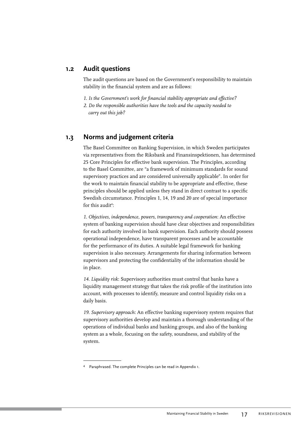#### <span id="page-16-0"></span>**1.2 Audit questions**

The audit questions are based on the Government's responsibility to maintain stability in the financial system and are as follows:

- *1. Is the Government's work for financial stability appropriate and effective?*
- *2. Do the responsible authorities have the tools and the capacity needed to carry out this job?*

#### **1.3 Norms and judgement criteria**

The Basel Committee on Banking Supervision, in which Sweden participates via representatives from the Riksbank and Finansinspektionen, has determined 25 Core Principles for effective bank supervision. The Principles, according to the Basel Committee, are "a framework of minimum standards for sound supervisory practices and are considered universally applicable". In order for the work to maintain financial stability to be appropriate and effective, these principles should be applied unless they stand in direct contrast to a specific Swedish circumstance. Principles 1, 14, 19 and 20 are of special importance for this audit<sup>4</sup>:

*1. Objectives, independence, powers, transparency and cooperation*: An effective system of banking supervision should have clear objectives and responsibilities for each authority involved in bank supervision. Each authority should possess operational independence, have transparent processes and be accountable for the performance of its duties. A suitable legal framework for banking supervision is also necessary. Arrangements for sharing information between supervisors and protecting the confidentiality of the information should be in place.

*14. Liquidity risk*: Supervisory authorities must control that banks have a liquidity management strategy that takes the risk profile of the institution into account, with processes to identify, measure and control liquidity risks on a daily basis.

*19. Supervisory approach*: An effective banking supervisory system requires that supervisory authorities develop and maintain a thorough understanding of the operations of individual banks and banking groups, and also of the banking system as a whole, focusing on the safety, soundness, and stability of the system.

<sup>4</sup> Paraphrased. The complete Principles can be read in Appendix 1.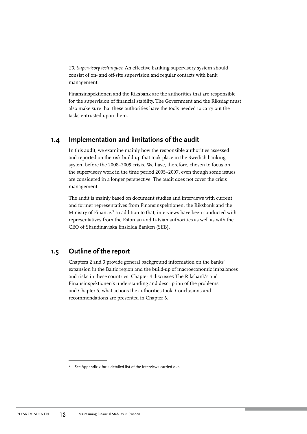<span id="page-17-0"></span>*20. Supervisory techniques*: An effective banking supervisory system should consist of on- and off-site supervision and regular contacts with bank management.

Finansinspektionen and the Riksbank are the authorities that are responsible for the supervision of financial stability. The Government and the Riksdag must also make sure that these authorities have the tools needed to carry out the tasks entrusted upon them.

#### **1.4 Implementation and limitations of the audit**

In this audit, we examine mainly how the responsible authorities assessed and reported on the risk build-up that took place in the Swedish banking system before the 2008–2009 crisis. We have, therefore, chosen to focus on the supervisory work in the time period 2005–2007, even though some issues are considered in a longer perspective. The audit does not cover the crisis management.

The audit is mainly based on document studies and interviews with current and former representatives from Finansinspektionen, the Riksbank and the Ministry of Finance.<sup>5</sup> In addition to that, interviews have been conducted with representatives from the Estonian and Latvian authorities as well as with the CEO of Skandinaviska Enskilda Banken (SEB).

#### **1.5 Outline of the report**

Chapters 2 and 3 provide general background information on the banks' expansion in the Baltic region and the build-up of macroeconomic imbalances and risks in these countries. Chapter 4 discusses The Riksbank's and Finansinspektionen's understanding and description of the problems and Chapter 5, what actions the authorities took. Conclusions and recommendations are presented in Chapter 6.

<sup>&</sup>lt;sup>5</sup> See Appendix 2 for a detailed list of the interviews carried out.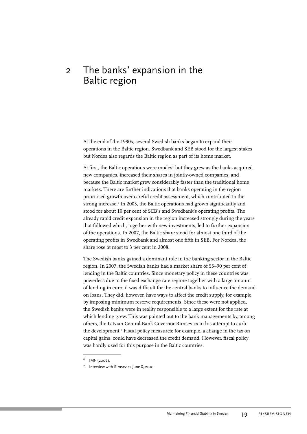### <span id="page-18-0"></span>2 The banks' expansion in the Baltic region

At the end of the 1990s, several Swedish banks began to expand their operations in the Baltic region. Swedbank and SEB stood for the largest stakes but Nordea also regards the Baltic region as part of its home market.

At first, the Baltic operations were modest but they grew as the banks acquired new companies, increased their shares in jointly-owned companies, and because the Baltic market grew considerably faster than the traditional home markets. There are further indications that banks operating in the region prioritised growth over careful credit assessment, which contributed to the strong increase.<sup>6</sup> In 2003, the Baltic operations had grown significantly and stood for about 10 per cent of SEB's and Swedbank's operating profits. The already rapid credit expansion in the region increased strongly during the years that followed which, together with new investments, led to further expansion of the operations. In 2007, the Baltic share stood for almost one third of the operating profits in Swedbank and almost one fifth in SEB. For Nordea, the share rose at most to 3 per cent in 2008.

The Swedish banks gained a dominant role in the banking sector in the Baltic region. In 2007, the Swedish banks had a market share of 55–90 per cent of lending in the Baltic countries. Since monetary policy in these countries was powerless due to the fixed exchange rate regime together with a large amount of lending in euro, it was difficult for the central banks to influence the demand on loans. They did, however, have ways to affect the credit supply, for example, by imposing minimum reserve requirements. Since these were not applied, the Swedish banks were in reality responsible to a large extent for the rate at which lending grew. This was pointed out to the bank managements by, among others, the Latvian Central Bank Governor Rimsevics in his attempt to curb the development.7 Fiscal policy measures; for example, a change in the tax on capital gains, could have decreased the credit demand. However, fiscal policy was hardly used for this purpose in the Baltic countries.

 $6$  IMF (2006).

<sup>7</sup> Interview with Rimsevics June 8, 2010.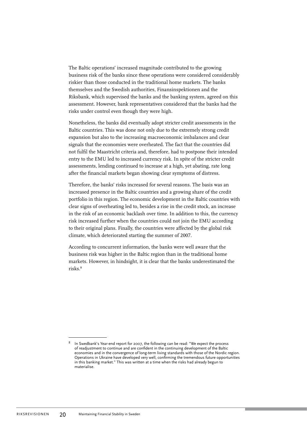The Baltic operations' increased magnitude contributed to the growing business risk of the banks since these operations were considered considerably riskier than those conducted in the traditional home markets. The banks themselves and the Swedish authorities, Finansinspektionen and the Riksbank, which supervised the banks and the banking system, agreed on this assessment. However, bank representatives considered that the banks had the risks under control even though they were high.

Nonetheless, the banks did eventually adopt stricter credit assessments in the Baltic countries. This was done not only due to the extremely strong credit expansion but also to the increasing macroeconomic imbalances and clear signals that the economies were overheated. The fact that the countries did not fulfil the Maastricht criteria and, therefore, had to postpone their intended entry to the EMU led to increased currency risk. In spite of the stricter credit assessments, lending continued to increase at a high, yet abating, rate long after the financial markets began showing clear symptoms of distress.

Therefore, the banks' risks increased for several reasons. The basis was an increased presence in the Baltic countries and a growing share of the credit portfolio in this region. The economic development in the Baltic countries with clear signs of overheating led to, besides a rise in the credit stock, an increase in the risk of an economic backlash over time. In addition to this, the currency risk increased further when the countries could not join the EMU according to their original plans. Finally, the countries were affected by the global risk climate, which deteriorated starting the summer of 2007.

According to concurrent information, the banks were well aware that the business risk was higher in the Baltic region than in the traditional home markets. However, in hindsight, it is clear that the banks underestimated the risks.8

In Swedbank's Year-end report for 2007, the following can be read: "We expect the process of readjustment to continue and are confident in the continuing development of the Baltic economies and in the convergence of long-term living standards with those of the Nordic region. Operations in Ukraine have developed very well, confirming the tremendous future opportunities in this banking market." This was written at a time when the risks had already begun to materialise.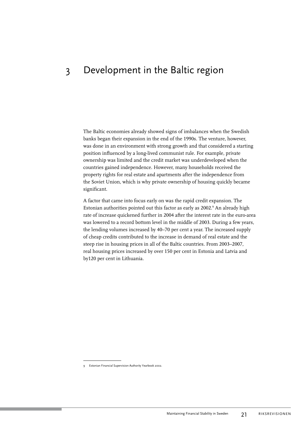## <span id="page-20-0"></span>3 Development in the Baltic region

The Baltic economies already showed signs of imbalances when the Swedish banks began their expansion in the end of the 1990s. The venture, however, was done in an environment with strong growth and that considered a starting position influenced by a long-lived communist rule. For example, private ownership was limited and the credit market was underdeveloped when the countries gained independence. However, many households received the property rights for real estate and apartments after the independence from the Soviet Union, which is why private ownership of housing quickly became significant.

A factor that came into focus early on was the rapid credit expansion. The Estonian authorities pointed out this factor as early as 2002.<sup>9</sup> An already high rate of increase quickened further in 2004 after the interest rate in the euro-area was lowered to a record bottom level in the middle of 2003. During a few years, the lending volumes increased by 40–70 per cent a year. The increased supply of cheap credits contributed to the increase in demand of real estate and the steep rise in housing prices in all of the Baltic countries. From 2003–2007, real housing prices increased by over 150 per cent in Estonia and Latvia and by120 per cent in Lithuania.

<sup>9</sup> Estonian Financial Supervision Authority Yearbook 2002.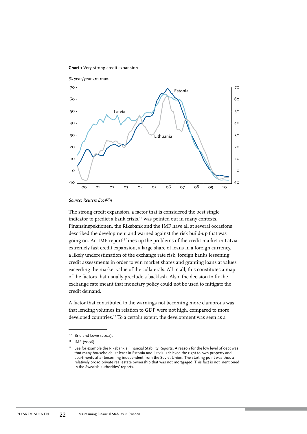**Chart 1** Very strong credit expansion



% year/year 3m mav.

*Source: Reuters EcoWin*

The strong credit expansion, a factor that is considered the best single indicator to predict a bank crisis,<sup>10</sup> was pointed out in many contexts. Finansinspektionen, the Riksbank and the IMF have all at several occasions described the development and warned against the risk build-up that was going on. An IMF report<sup>11</sup> lines up the problems of the credit market in Latvia: extremely fast credit expansion, a large share of loans in a foreign currency, a likely underestimation of the exchange rate risk, foreign banks lessening credit assessments in order to win market shares and granting loans at values exceeding the market value of the collaterals. All in all, this constitutes a map of the factors that usually preclude a backlash. Also, the decision to fix the exchange rate meant that monetary policy could not be used to mitigate the credit demand.

A factor that contributed to the warnings not becoming more clamorous was that lending volumes in relation to GDP were not high, compared to more developed countries.<sup>12</sup> To a certain extent, the development was seen as a

<sup>&</sup>lt;sup>10</sup> Brio and Lowe (2002).

 $11$  IMF (2006).

<sup>&</sup>lt;sup>12</sup> See for example the Riksbank's Financial Stability Reports. A reason for the low level of debt was that many households, at least in Estonia and Latvia, achieved the right to own property and apartments after becoming independent from the Soviet Union. The starting point was thus a relatively broad private real estate ownership that was not mortgaged. This fact is not mentioned in the Swedish authorities' reports.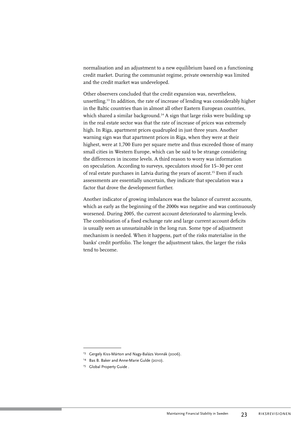normalisation and an adjustment to a new equilibrium based on a functioning credit market. During the communist regime, private ownership was limited and the credit market was undeveloped.

Other observers concluded that the credit expansion was, nevertheless, unsettling.13 In addition, the rate of increase of lending was considerably higher in the Baltic countries than in almost all other Eastern European countries, which shared a similar background.<sup>14</sup> A sign that large risks were building up in the real estate sector was that the rate of increase of prices was extremely high. In Riga, apartment prices quadrupled in just three years. Another warning sign was that apartment prices in Riga, when they were at their highest, were at 1,700 Euro per square metre and thus exceeded those of many small cities in Western Europe, which can be said to be strange considering the differences in income levels. A third reason to worry was information on speculation. According to surveys, speculators stood for 15–30 per cent of real estate purchases in Latvia during the years of ascent.15 Even if such assessments are essentially uncertain, they indicate that speculation was a factor that drove the development further.

Another indicator of growing imbalances was the balance of current accounts, which as early as the beginning of the 2000s was negative and was continuously worsened. During 2005, the current account deteriorated to alarming levels. The combination of a fixed exchange rate and large current account deficits is usually seen as unsustainable in the long run. Some type of adjustment mechanism is needed. When it happens, part of the risks materialise in the banks' credit portfolio. The longer the adjustment takes, the larger the risks tend to become.

<sup>&</sup>lt;sup>13</sup> Gergely Kiss-Márton and Nagy-Balázs Vonnák (2006).

<sup>&</sup>lt;sup>14</sup> Bas B. Baker and Anne-Marie Gulde (2010).

<sup>&</sup>lt;sup>15</sup> Global Property Guide.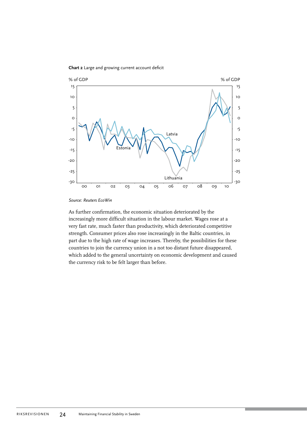



*Source: Reuters EcoWin*

As further confirmation, the economic situation deteriorated by the increasingly more difficult situation in the labour market. Wages rose at a very fast rate, much faster than productivity, which deteriorated competitive strength. Consumer prices also rose increasingly in the Baltic countries, in part due to the high rate of wage increases. Thereby, the possibilities for these countries to join the currency union in a not too distant future disappeared, which added to the general uncertainty on economic development and caused the currency risk to be felt larger than before.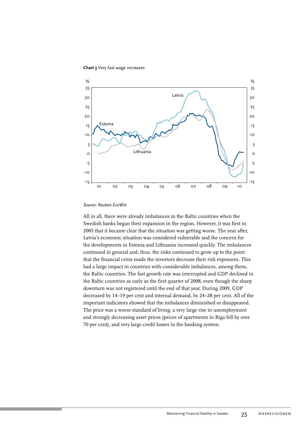#### **Chart 3** Very fast wage increases



*Source: Reuters EcoWin*

All in all, there were already imbalances in the Baltic countries when the Swedish banks began their expansion in the region. However, it was first in 2005 that it became clear that the situation was getting worse. The year after, Latvia's economic situation was considered vulnerable and the concern for the developments in Estonia and Lithuania increased quickly. The imbalances continued in general and, thus, the risks continued to grow up to the point that the financial crisis made the investors decrease their risk exposures. This had a large impact in countries with considerable imbalances, among them, the Baltic countries. The fast growth rate was interrupted and GDP declined in the Baltic countries as early as the first quarter of 2008, even though the sharp downturn was not registered until the end of that year. During 2009, GDP decreased by 14–19 per cent and internal demand, by 24–28 per cent. All of the important indicators showed that the imbalances diminished or disappeared. The price was a worse standard of living, a very large rise in unemployment and strongly decreasing asset prices (prices of apartments in Riga fell by over 70 per cent), and very large credit losses in the banking system.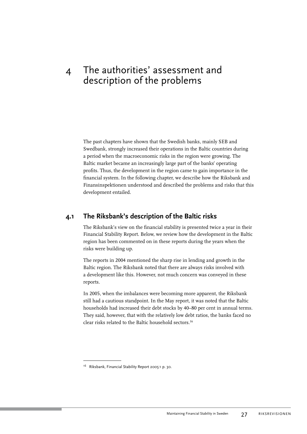### <span id="page-26-0"></span>4 The authorities' assessment and description of the problems

The past chapters have shown that the Swedish banks, mainly SEB and Swedbank, strongly increased their operations in the Baltic countries during a period when the macroeconomic risks in the region were growing. The Baltic market became an increasingly large part of the banks' operating profits. Thus, the development in the region came to gain importance in the financial system. In the following chapter, we describe how the Riksbank and Finansinspektionen understood and described the problems and risks that this development entailed.

#### **4.1 The Riksbank's description of the Baltic risks**

The Riksbank's view on the financial stability is presented twice a year in their Financial Stability Report. Below, we review how the development in the Baltic region has been commented on in these reports during the years when the risks were building up.

The reports in 2004 mentioned the sharp rise in lending and growth in the Baltic region. The Riksbank noted that there are always risks involved with a development like this. However, not much concern was conveyed in these reports.

In 2005, when the imbalances were becoming more apparent, the Riksbank still had a cautious standpoint. In the May report, it was noted that the Baltic households had increased their debt stocks by 40–80 per cent in annual terms. They said, however, that with the relatively low debt ratios, the banks faced no clear risks related to the Baltic household sectors.16

<sup>16</sup> Riksbank, Financial Stability Report 2005:1 p. 30.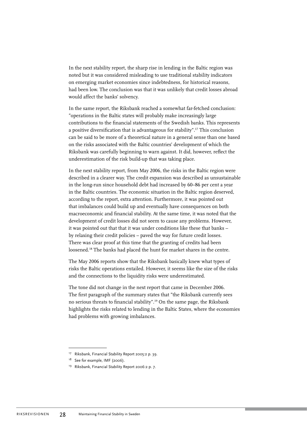In the next stability report, the sharp rise in lending in the Baltic region was noted but it was considered misleading to use traditional stability indicators on emerging market economies since indebtedness, for historical reasons, had been low. The conclusion was that it was unlikely that credit losses abroad would affect the banks' solvency.

In the same report, the Riksbank reached a somewhat far-fetched conclusion: "operations in the Baltic states will probably make increasingly large contributions to the financial statements of the Swedish banks. This represents a positive diversification that is advantageous for stability".17 This conclusion can be said to be more of a theoretical nature in a general sense than one based on the risks associated with the Baltic countries' development of which the Riksbank was carefully beginning to warn against. It did, however, reflect the underestimation of the risk build-up that was taking place.

In the next stability report, from May 2006, the risks in the Baltic region were described in a clearer way. The credit expansion was described as unsustainable in the long-run since household debt had increased by 60–86 per cent a year in the Baltic countries. The economic situation in the Baltic region deserved, according to the report, extra attention. Furthermore, it was pointed out that imbalances could build up and eventually have consequences on both macroeconomic and financial stability. At the same time, it was noted that the development of credit losses did not seem to cause any problems. However, it was pointed out that that it was under conditions like these that banks – by relaxing their credit policies – paved the way for future credit losses. There was clear proof at this time that the granting of credits had been loosened.18 The banks had placed the hunt for market shares in the centre.

The May 2006 reports show that the Riksbank basically knew what types of risks the Baltic operations entailed. However, it seems like the size of the risks and the connections to the liquidity risks were underestimated.

The tone did not change in the next report that came in December 2006. The first paragraph of the summary states that "the Riksbank currently sees no serious threats to financial stability".19 On the same page, the Riksbank highlights the risks related to lending in the Baltic States, where the economies had problems with growing imbalances.

<sup>17</sup> Riksbank, Financial Stability Report 2005:2 p. 39.

<sup>&</sup>lt;sup>18</sup> See for example, IMF (2006).

<sup>19</sup> Riksbank, Financial Stability Report 2006:2 p. 7.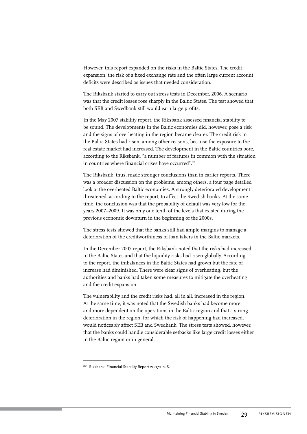However, this report expanded on the risks in the Baltic States. The credit expansion, the risk of a fixed exchange rate and the often large current account deficits were described as issues that needed consideration.

The Riksbank started to carry out stress tests in December, 2006. A scenario was that the credit losses rose sharply in the Baltic States. The test showed that both SEB and Swedbank still would earn large profits.

In the May 2007 stability report, the Riksbank assessed financial stability to be sound. The developments in the Baltic economies did, however, pose a risk and the signs of overheating in the region became clearer. The credit risk in the Baltic States had risen, among other reasons, because the exposure to the real estate market had increased. The development in the Baltic countries bore, according to the Riksbank, "a number of features in common with the situation in countries where financial crises have occurred".20

The Riksbank, thus, made stronger conclusions than in earlier reports. There was a broader discussion on the problems, among others, a four page detailed look at the overheated Baltic economies. A strongly deteriorated development threatened, according to the report, to affect the Swedish banks. At the same time, the conclusion was that the probability of default was very low for the years 2007–2009. It was only one tenth of the levels that existed during the previous economic downturn in the beginning of the 2000s.

The stress tests showed that the banks still had ample margins to manage a deterioration of the creditworthiness of loan takers in the Baltic markets.

In the December 2007 report, the Riksbank noted that the risks had increased in the Baltic States and that the liquidity risks had risen globally. According to the report, the imbalances in the Baltic States had grown but the rate of increase had diminished. There were clear signs of overheating, but the authorities and banks had taken some measures to mitigate the overheating and the credit expansion.

The vulnerability and the credit risks had, all in all, increased in the region. At the same time, it was noted that the Swedish banks had become more and more dependent on the operations in the Baltic region and that a strong deterioration in the region, for which the risk of happening had increased, would noticeably affect SEB and Swedbank. The stress tests showed, however, that the banks could handle considerable setbacks like large credit losses either in the Baltic region or in general.

<sup>20</sup> Riksbank, Financial Stability Report 2007:1 p. 8.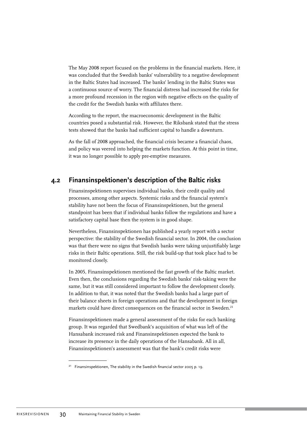<span id="page-29-0"></span>The May 2008 report focused on the problems in the financial markets. Here, it was concluded that the Swedish banks' vulnerability to a negative development in the Baltic States had increased. The banks' lending in the Baltic States was a continuous source of worry. The financial distress had increased the risks for a more profound recession in the region with negative effects on the quality of the credit for the Swedish banks with affiliates there.

According to the report, the macroeconomic development in the Baltic countries posed a substantial risk. However, the Riksbank stated that the stress tests showed that the banks had sufficient capital to handle a downturn.

As the fall of 2008 approached, the financial crisis became a financial chaos, and policy was veered into helping the markets function. At this point in time, it was no longer possible to apply pre-emptive measures.

### **4.2 Finansinspektionen's description of the Baltic risks**

Finansinspektionen supervises individual banks, their credit quality and processes, among other aspects. Systemic risks and the financial system's stability have not been the focus of Finansinspektionen, but the general standpoint has been that if individual banks follow the regulations and have a satisfactory capital base then the system is in good shape.

Nevertheless, Finansinspektionen has published a yearly report with a sector perspective: the stability of the Swedish financial sector. In 2004, the conclusion was that there were no signs that Swedish banks were taking unjustifiably large risks in their Baltic operations. Still, the risk build-up that took place had to be monitored closely.

In 2005, Finansinspektionen mentioned the fast growth of the Baltic market. Even then, the conclusions regarding the Swedish banks' risk-taking were the same, but it was still considered important to follow the development closely. In addition to that, it was noted that the Swedish banks had a large part of their balance sheets in foreign operations and that the development in foreign markets could have direct consequences on the financial sector in Sweden.<sup>21</sup>

Finansinspektionen made a general assessment of the risks for each banking group. It was regarded that Swedbank's acquisition of what was left of the Hansabank increased risk and Finansinspektionen expected the bank to increase its presence in the daily operations of the Hansabank. All in all, Finansinspektionen's assessment was that the bank's credit risks were

<sup>&</sup>lt;sup>21</sup> Finansinspektionen, The stability in the Swedish financial sector 2005 p. 19.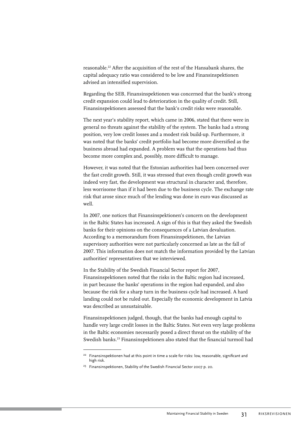reasonable.22 After the acquisition of the rest of the Hansabank shares, the capital adequacy ratio was considered to be low and Finansinspektionen advised an intensified supervision.

Regarding the SEB, Finansinspektionen was concerned that the bank's strong credit expansion could lead to deterioration in the quality of credit. Still, Finansinspektionen assessed that the bank's credit risks were reasonable.

The next year's stability report, which came in 2006, stated that there were in general no threats against the stability of the system. The banks had a strong position, very low credit losses and a modest risk build-up. Furthermore, it was noted that the banks' credit portfolio had become more diversified as the business abroad had expanded. A problem was that the operations had thus become more complex and, possibly, more difficult to manage.

However, it was noted that the Estonian authorities had been concerned over the fast credit growth. Still, it was stressed that even though credit growth was indeed very fast, the development was structural in character and, therefore, less worrisome than if it had been due to the business cycle. The exchange rate risk that arose since much of the lending was done in euro was discussed as well.

In 2007, one notices that Finansinspektionen's concern on the development in the Baltic States has increased. A sign of this is that they asked the Swedish banks for their opinions on the consequences of a Latvian devaluation. According to a memorandum from Finansinspektionen, the Latvian supervisory authorities were not particularly concerned as late as the fall of 2007. This information does not match the information provided by the Latvian authorities' representatives that we interviewed.

In the Stability of the Swedish Financial Sector report for 2007, Finansinspektionen noted that the risks in the Baltic region had increased, in part because the banks' operations in the region had expanded, and also because the risk for a sharp turn in the business cycle had increased. A hard landing could not be ruled out. Especially the economic development in Latvia was described as unsustainable.

Finansinspektionen judged, though, that the banks had enough capital to handle very large credit losses in the Baltic States. Not even very large problems in the Baltic economies necessarily posed a direct threat on the stability of the Swedish banks.<sup>23</sup> Finansinspektionen also stated that the financial turmoil had

<sup>&</sup>lt;sup>22</sup> Finansinspektionen had at this point in time a scale for risks: low, reasonable, significant and high risk.

<sup>&</sup>lt;sup>23</sup> Finansinspektionen, Stability of the Swedish Financial Sector 2007 p. 20.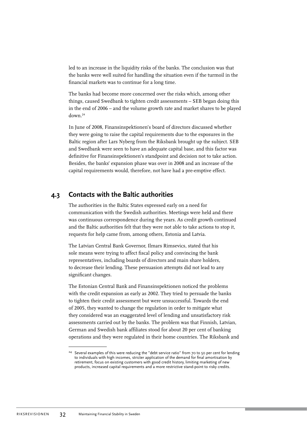<span id="page-31-0"></span>led to an increase in the liquidity risks of the banks. The conclusion was that the banks were well suited for handling the situation even if the turmoil in the financial markets was to continue for a long time.

The banks had become more concerned over the risks which, among other things, caused Swedbank to tighten credit assessments – SEB began doing this in the end of 2006 – and the volume growth rate and market shares to be played down.24

In June of 2008, Finansinspektionen's board of directors discussed whether they were going to raise the capital requirements due to the exposures in the Baltic region after Lars Nyberg from the Riksbank brought up the subject. SEB and Swedbank were seen to have an adequate capital base, and this factor was definitive for Finansinspektionen's standpoint and decision not to take action. Besides, the banks' expansion phase was over in 2008 and an increase of the capital requirements would, therefore, not have had a pre-emptive effect.

#### **4.3 Contacts with the Baltic authorities**

The authorities in the Baltic States expressed early on a need for communication with the Swedish authorities. Meetings were held and there was continuous correspondence during the years. As credit growth continued and the Baltic authorities felt that they were not able to take actions to stop it, requests for help came from, among others, Estonia and Latvia.

The Latvian Central Bank Governor, Ilmars Rimsevics, stated that his sole means were trying to affect fiscal policy and convincing the bank representatives, including boards of directors and main share holders, to decrease their lending. These persuasion attempts did not lead to any significant changes.

The Estonian Central Bank and Finansinspektionen noticed the problems with the credit expansion as early as 2002. They tried to persuade the banks to tighten their credit assessment but were unsuccessful. Towards the end of 2005, they wanted to change the regulation in order to mitigate what they considered was an exaggerated level of lending and unsatisfactory risk assessments carried out by the banks. The problem was that Finnish, Latvian, German and Swedish bank affiliates stood for about 20 per cent of banking operations and they were regulated in their home countries. The Riksbank and

<sup>&</sup>lt;sup>24</sup> Several examples of this were reducing the "debt service ratio" from 70 to 50 per cent for lending to individuals with high incomes, stricter application of the demand for final amortisation by retirement, focus on existing customers with good credit history, limiting marketing of new products, increased capital requirements and a more restrictive stand-point to risky credits.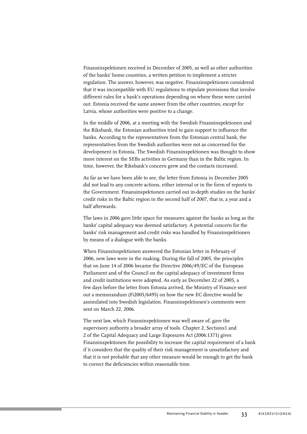Finansinspektionen received in December of 2005, as well as other authorities of the banks' home countries, a written petition to implement a stricter regulation. The answer, however, was negative. Finansinspektionen considered that it was incompatible with EU regulations to stipulate provisions that involve different rules for a bank's operations depending on where these were carried out. Estonia received the same answer from the other countries, except for Latvia, whose authorities were positive to a change.

In the middle of 2006, at a meeting with the Swedish Finansinspektionen and the Riksbank, the Estonian authorities tried to gain support to influence the banks. According to the representatives from the Estonian central bank, the representatives from the Swedish authorities were not as concerned for the development in Estonia. The Swedish Finansinspektionen was thought to show more interest on the SEBs activities in Germany than in the Baltic region. In time, however, the Riksbank's concern grew and the contacts increased.

As far as we have been able to see, the letter from Estonia in December 2005 did not lead to any concrete actions, either internal or in the form of reports to the Government. Finansinspektionen carried out in-depth studies on the banks' credit risks in the Baltic region in the second half of 2007, that is, a year and a half afterwards.

The laws in 2006 gave little space for measures against the banks as long as the banks' capital adequacy was deemed satisfactory. A potential concern for the banks' risk management and credit risks was handled by Finansinspektionen by means of a dialogue with the banks.

When Finansinspektionen answered the Estonian letter in February of 2006, new laws were in the making. During the fall of 2005, the principles that on June 14 of 2006 became the Directive 2006/49/EC of the European Parliament and of the Council on the capital adequacy of investment firms and credit institutions were adopted. As early as December 22 of 2005, a few days before the letter from Estonia arrived, the Ministry of Finance sent out a memorandum (Fi2005/6495) on how the new EC directive would be assimilated into Swedish legislation. Finansinspektionen's comments were sent on March 22, 2006.

The next law, which Finansinspektionen was well aware of, gave the supervisory authority a broader array of tools. Chapter 2, Sections1 and 2 of the Capital Adequacy and Large Exposures Act (2006:1371) gives Finansinspektionen the possibility to increase the capital requirement of a bank if it considers that the quality of their risk management is unsatisfactory and that it is not probable that any other measure would be enough to get the bank to correct the deficiencies within reasonable time.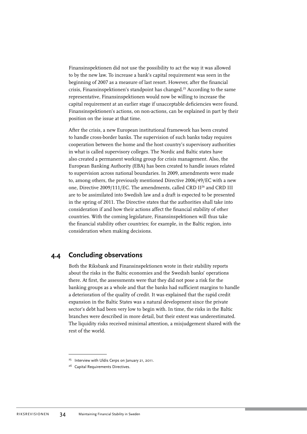<span id="page-33-0"></span>Finansinspektionen did not use the possibility to act the way it was allowed to by the new law. To increase a bank's capital requirement was seen in the beginning of 2007 as a measure of last resort. However, after the financial crisis, Finansinspektionen's standpoint has changed.25 According to the same representative, Finansinspektionen would now be willing to increase the capital requirement at an earlier stage if unacceptable deficiencies were found. Finansinspektionen's actions, on non-actions, can be explained in part by their position on the issue at that time.

After the crisis, a new European institutional framework has been created to handle cross-border banks. The supervision of such banks today requires cooperation between the home and the host country's supervisory authorities in what is called supervisory colleges. The Nordic and Baltic states have also created a permanent working group for crisis management. Also, the European Banking Authority (EBA) has been created to handle issues related to supervision across national boundaries. In 2009, amendments were made to, among others, the previously mentioned Directive 2006/49/EC with a new one, Directive 2009/111/EC. The amendments, called CRD II26 and CRD III are to be assimilated into Swedish law and a draft is expected to be presented in the spring of 2011. The Directive states that the authorities shall take into consideration if and how their actions affect the financial stability of other countries. With the coming legislature, Finansinspektionen will thus take the financial stability other countries; for example, in the Baltic region, into consideration when making decisions.

#### **4.4 Concluding observations**

Both the Riksbank and Finansinspektionen wrote in their stability reports about the risks in the Baltic economies and the Swedish banks' operations there. At first, the assessments were that they did not pose a risk for the banking groups as a whole and that the banks had sufficient margins to handle a deterioration of the quality of credit. It was explained that the rapid credit expansion in the Baltic States was a natural development since the private sector's debt had been very low to begin with. In time, the risks in the Baltic branches were described in more detail, but their extent was underestimated. The liquidity risks received minimal attention, a misjudgement shared with the rest of the world.

<sup>&</sup>lt;sup>25</sup> Interview with Uldis Cerps on January 21, 2011.

<sup>&</sup>lt;sup>26</sup> Capital Requirements Directives.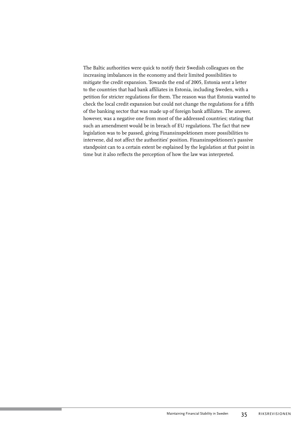The Baltic authorities were quick to notify their Swedish colleagues on the increasing imbalances in the economy and their limited possibilities to mitigate the credit expansion. Towards the end of 2005, Estonia sent a letter to the countries that had bank affiliates in Estonia, including Sweden, with a petition for stricter regulations for them. The reason was that Estonia wanted to check the local credit expansion but could not change the regulations for a fifth of the banking sector that was made up of foreign bank affiliates. The answer, however, was a negative one from most of the addressed countries; stating that such an amendment would be in breach of EU regulations. The fact that new legislation was to be passed, giving Finansinspektionen more possibilities to intervene, did not affect the authorities' position. Finansinspektionen's passive standpoint can to a certain extent be explained by the legislation at that point in time but it also reflects the perception of how the law was interpreted.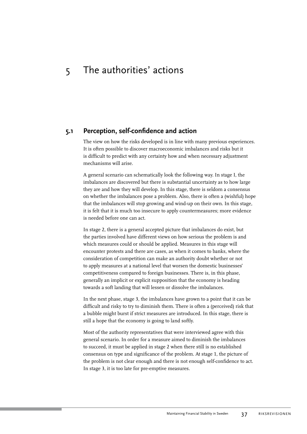# 5 The authorities' actions

## **5.1 Perception, self-confidence and action**

The view on how the risks developed is in line with many previous experiences. It is often possible to discover macroeconomic imbalances and risks but it is difficult to predict with any certainty how and when necessary adjustment mechanisms will arise.

A general scenario can schematically look the following way. In stage I, the imbalances are discovered but there is substantial uncertainty as to how large they are and how they will develop. In this stage, there is seldom a consensus on whether the imbalances pose a problem. Also, there is often a (wishful) hope that the imbalances will stop growing and wind-up on their own. In this stage, it is felt that it is much too insecure to apply countermeasures; more evidence is needed before one can act.

In stage 2, there is a general accepted picture that imbalances do exist, but the parties involved have different views on how serious the problem is and which measures could or should be applied. Measures in this stage will encounter protests and there are cases, as when it comes to banks, where the consideration of competition can make an authority doubt whether or not to apply measures at a national level that worsen the domestic businesses' competitiveness compared to foreign businesses. There is, in this phase, generally an implicit or explicit supposition that the economy is heading towards a soft landing that will lessen or dissolve the imbalances.

In the next phase, stage 3, the imbalances have grown to a point that it can be difficult and risky to try to diminish them. There is often a (perceived) risk that a bubble might burst if strict measures are introduced. In this stage, there is still a hope that the economy is going to land softly.

Most of the authority representatives that were interviewed agree with this general scenario. In order for a measure aimed to diminish the imbalances to succeed, it must be applied in stage 2 when there still is no established consensus on type and significance of the problem. At stage 1, the picture of the problem is not clear enough and there is not enough self-confidence to act. In stage 3, it is too late for pre-emptive measures.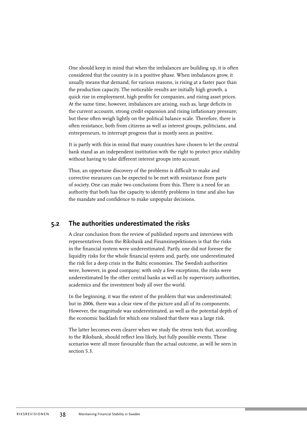One should keep in mind that when the imbalances are building up, it is often considered that the country is in a positive phase. When imbalances grow, it usually means that demand, for various reasons, is rising at a faster pace than the production capacity. The noticeable results are initially high growth, a quick rise in employment, high profits for companies, and rising asset prices. At the same time, however, imbalances are arising, such as, large deficits in the current accounts, strong credit expansion and rising inflationary pressure; but these often weigh lightly on the political balance scale. Therefore, there is often resistance, both from citizens as well as interest groups, politicians, and entrepreneurs, to interrupt progress that is mostly seen as positive.

It is partly with this in mind that many countries have chosen to let the central bank stand as an independent institution with the right to protect price stability without having to take different interest groups into account.

Thus, an opportune discovery of the problems is difficult to make and corrective measures can be expected to be met with resistance from parts of society. One can make two conclusions from this. There is a need for an authority that both has the capacity to identify problems in time and also has the mandate and confidence to make unpopular decisions.

### **5.2 The authorities underestimated the risks**

A clear conclusion from the review of published reports and interviews with representatives from the Riksbank and Finansinspektionen is that the risks in the financial system were underestimated. Partly, one did not foresee the liquidity risks for the whole financial system and, partly, one underestimated the risk for a deep crisis in the Baltic economies. The Swedish authorities were, however, in good company; with only a few exceptions, the risks were underestimated by the other central banks as well as by supervisory authorities, academics and the investment body all over the world.

In the beginning, it was the extent of the problem that was underestimated; but in 2006, there was a clear view of the picture and all of its components. However, the magnitude was underestimated, as well as the potential depth of the economic backlash for which one realised that there was a large risk.

The latter becomes even clearer when we study the stress tests that, according to the Riksbank, should reflect less likely, but fully possible events. These scenarios were all more favourable than the actual outcome, as will be seen in section 5.3.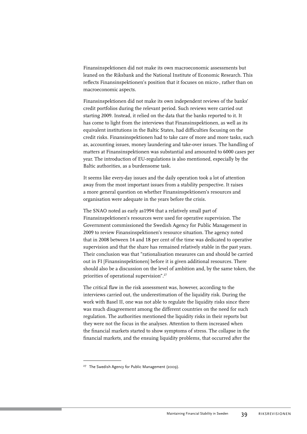Finansinspektionen did not make its own macroeconomic assessments but leaned on the Riksbank and the National Institute of Economic Research. This reflects Finansinspektionen's position that it focuses on micro-, rather than on macroeconomic aspects.

Finansinspektionen did not make its own independent reviews of the banks' credit portfolios during the relevant period. Such reviews were carried out starting 2009. Instead, it relied on the data that the banks reported to it. It has come to light from the interviews that Finansinspektionen, as well as its equivalent institutions in the Baltic States, had difficulties focusing on the credit risks. Finansinspektionen had to take care of more and more tasks, such as, accounting issues, money laundering and take-over issues. The handling of matters at Finansinspektionen was substantial and amounted to 6000 cases per year. The introduction of EU-regulations is also mentioned, especially by the Baltic authorities, as a burdensome task.

It seems like every-day issues and the daily operation took a lot of attention away from the most important issues from a stability perspective. It raises a more general question on whether Finansinspektionen's resources and organisation were adequate in the years before the crisis.

The SNAO noted as early as1994 that a relatively small part of Finansinspektionen's resources were used for operative supervision. The Government commissioned the Swedish Agency for Public Management in 2009 to review Finansinspektionen's resource situation. The agency noted that in 2008 between 14 and 18 per cent of the time was dedicated to operative supervision and that the share has remained relatively stable in the past years. Their conclusion was that "rationalisation measures can and should be carried out in FI [Finansinspektionen] before it is given additional resources. There should also be a discussion on the level of ambition and, by the same token, the priorities of operational supervision".27

The critical flaw in the risk assessment was, however, according to the interviews carried out, the underestimation of the liquidity risk. During the work with Basel II, one was not able to regulate the liquidity risks since there was much disagreement among the different countries on the need for such regulation. The authorities mentioned the liquidity risks in their reports but they were not the focus in the analyses. Attention to them increased when the financial markets started to show symptoms of stress. The collapse in the financial markets, and the ensuing liquidity problems, that occurred after the

<sup>&</sup>lt;sup>27</sup> The Swedish Agency for Public Management (2009).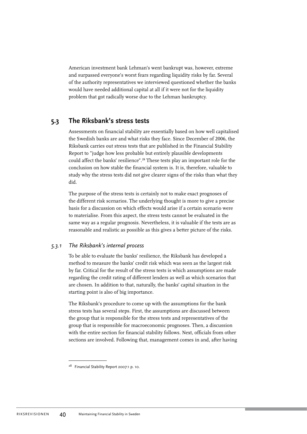American investment bank Lehman's went bankrupt was, however, extreme and surpassed everyone's worst fears regarding liquidity risks by far. Several of the authority representatives we interviewed questioned whether the banks would have needed additional capital at all if it were not for the liquidity problem that got radically worse due to the Lehman bankruptcy.

### **5.3 The Riksbank's stress tests**

Assessments on financial stability are essentially based on how well capitalised the Swedish banks are and what risks they face. Since December of 2006, the Riksbank carries out stress tests that are published in the Financial Stability Report to "judge how less probable but entirely plausible developments could affect the banks' resilience".28 These tests play an important role for the conclusion on how stable the financial system is. It is, therefore, valuable to study why the stress tests did not give clearer signs of the risks than what they did.

The purpose of the stress tests is certainly not to make exact prognoses of the different risk scenarios. The underlying thought is more to give a precise basis for a discussion on which effects would arise if a certain scenario were to materialise. From this aspect, the stress tests cannot be evaluated in the same way as a regular prognosis. Nevertheless, it is valuable if the tests are as reasonable and realistic as possible as this gives a better picture of the risks.

#### *5.3.1 The Riksbank's internal process*

To be able to evaluate the banks' resilience, the Riksbank has developed a method to measure the banks' credit risk which was seen as the largest risk by far. Critical for the result of the stress tests is which assumptions are made regarding the credit rating of different lenders as well as which scenarios that are chosen. In addition to that, naturally, the banks' capital situation in the starting point is also of big importance.

The Riksbank's procedure to come up with the assumptions for the bank stress tests has several steps. First, the assumptions are discussed between the group that is responsible for the stress tests and representatives of the group that is responsible for macroeconomic prognoses. Then, a discussion with the entire section for financial stability follows. Next, officials from other sections are involved. Following that, management comes in and, after having

<sup>28</sup> Financial Stability Report 2007:1 p. 10.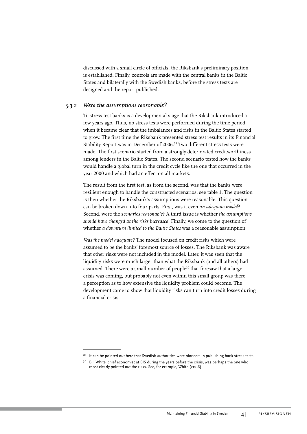discussed with a small circle of officials, the Riksbank's preliminary position is established. Finally, controls are made with the central banks in the Baltic States and bilaterally with the Swedish banks, before the stress tests are designed and the report published.

#### *5.3.2 Were the assumptions reasonable?*

To stress test banks is a developmental stage that the Riksbank introduced a few years ago. Thus, no stress tests were performed during the time period when it became clear that the imbalances and risks in the Baltic States started to grow. The first time the Riksbank presented stress test results in its Financial Stability Report was in December of 2006.29 Two different stress tests were made. The first scenario started from a strongly deteriorated creditworthiness among lenders in the Baltic States. The second scenario tested how the banks would handle a global turn in the credit cycle like the one that occurred in the year 2000 and which had an effect on all markets.

The result from the first test, as from the second, was that the banks were resilient enough to handle the constructed scenarios, see table 1. The question is then whether the Riksbank's assumptions were reasonable. This question can be broken down into four parts. First, was it even *an adequate model*? Second, were the s*cenarios reasonable*? A third issue is whether *the assumptions should have changed as the risks increased*. Finally, we come to the question of whether *a downturn limited to the Baltic States* was a reasonable assumption.

*Was the model adequate?* The model focused on credit risks which were assumed to be the banks' foremost source of losses. The Riksbank was aware that other risks were not included in the model. Later, it was seen that the liquidity risks were much larger than what the Riksbank (and all others) had assumed. There were a small number of people<sup>30</sup> that foresaw that a large crisis was coming, but probably not even within this small group was there a perception as to how extensive the liquidity problem could become. The development came to show that liquidity risks can turn into credit losses during a financial crisis.

<sup>&</sup>lt;sup>29</sup> It can be pointed out here that Swedish authorities were pioneers in publishing bank stress tests.

<sup>&</sup>lt;sup>30</sup> Bill White, chief economist at BIS during the years before the crisis, was perhaps the one who most clearly pointed out the risks. See, for example, White (2006).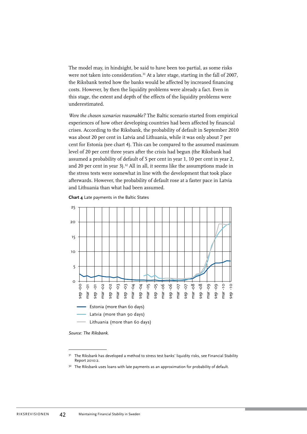The model may, in hindsight, be said to have been too partial, as some risks were not taken into consideration.<sup>31</sup> At a later stage, starting in the fall of 2007, the Riksbank tested how the banks would be affected by increased financing costs. However, by then the liquidity problems were already a fact. Even in this stage, the extent and depth of the effects of the liquidity problems were underestimated.

*Were the chosen scenarios reasonable?* The Baltic scenario started from empirical experiences of how other developing countries had been affected by financial crises. According to the Riksbank, the probability of default in September 2010 was about 20 per cent in Latvia and Lithuania, while it was only about 7 per cent for Estonia (see chart 4). This can be compared to the assumed maximum level of 20 per cent three years after the crisis had begun (the Riksbank had assumed a probability of default of 5 per cent in year 1, 10 per cent in year 2, and 20 per cent in year 3).<sup>32</sup> All in all, it seems like the assumptions made in the stress tests were somewhat in line with the development that took place afterwards. However, the probability of default rose at a faster pace in Latvia and Lithuania than what had been assumed.

**Chart 4** Late payments in the Baltic States



*Source: The Riksbank.*

 $32$  The Riksbank uses loans with late payments as an approximation for probability of default.

<sup>&</sup>lt;sup>31</sup> The Riksbank has developed a method to stress test banks' liquidity risks, see Financial Stability Report 2010:2.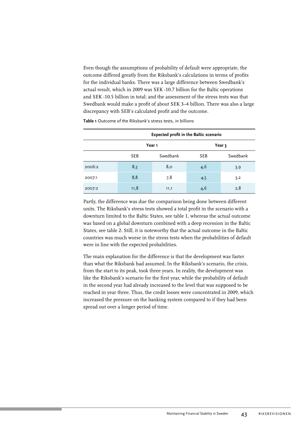Even though the assumptions of probability of default were appropriate, the outcome differed greatly from the Riksbank's calculations in terms of profits for the individual banks. There was a large difference between Swedbank's actual result, which in 2009 was SEK -10.7 billion for the Baltic operations and SEK -10.5 billion in total; and the assessment of the stress tests was that Swedbank would make a profit of about SEK 3–4 billion. There was also a large discrepancy with SEB's calculated profit and the outcome.

|        | Expected profit in the Baltic scenario |          |            |          |  |
|--------|----------------------------------------|----------|------------|----------|--|
|        | Year 1                                 |          | Year 3     |          |  |
|        | <b>SEB</b>                             | Swedbank | <b>SEB</b> | Swedbank |  |
| 2006:2 | 8,3                                    | 8,0      | 4,6        | 3,9      |  |
| 2007:1 | 8,8                                    | 7,8      | 4,5        | 3,2      |  |
| 2007:2 | 11,8                                   | 11,1     | 4,6        | 2,8      |  |

**Table 1** Outcome of the Riksbank's stress tests, in billions

Partly, the difference was due the comparison being done between different units. The Riksbank's stress tests showed a total profit in the scenario with a downturn limited to the Baltic States, see table 1, whereas the actual outcome was based on a global downturn combined with a deep recession in the Baltic States, see table 2. Still, it is noteworthy that the actual outcome in the Baltic countries was much worse in the stress tests when the probabilities of default were in line with the expected probabilities.

The main explanation for the difference is that the development was faster than what the Riksbank had assumed. In the Riksbank's scenario, the crisis, from the start to its peak, took three years. In reality, the development was like the Riksbank's scenario for the first year, while the probability of default in the second year had already increased to the level that was supposed to be reached in year three. Thus, the credit losses were concentrated in 2009, which increased the pressure on the banking system compared to if they had been spread out over a longer period of time.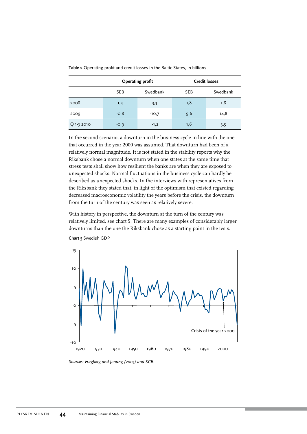|            | Operating profit |          | <b>Credit losses</b> |          |
|------------|------------------|----------|----------------------|----------|
|            | <b>SEB</b>       | Swedbank | <b>SEB</b>           | Swedbank |
| 2008       | 1,4              | 3,3      | 1,8                  | 1,8      |
| 2009       | $-0,8$           | $-10,7$  | 9,6                  | 14,8     |
| Q 1-3 2010 | $-0,9$           | $-1,2$   | 1,6                  | 3,5      |

**Table 2** Operating profit and credit losses in the Baltic States, in billions

In the second scenario, a downturn in the business cycle in line with the one that occurred in the year 2000 was assumed. That downturn had been of a relatively normal magnitude. It is not stated in the stability reports why the Riksbank chose a normal downturn when one states at the same time that stress tests shall show how resilient the banks are when they are exposed to unexpected shocks. Normal fluctuations in the business cycle can hardly be described as unexpected shocks. In the interviews with representatives from the Riksbank they stated that, in light of the optimism that existed regarding decreased macroeconomic volatility the years before the crisis, the downturn from the turn of the century was seen as relatively severe.

With history in perspective, the downturn at the turn of the century was relatively limited, see chart 5. There are many examples of considerably larger downturns than the one the Riksbank chose as a starting point in the tests.





*Sources: Hagberg and Jonung (2005) and SCB.*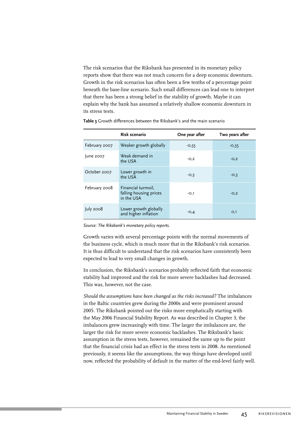The risk scenarios that the Riksbank has presented in its monetary policy reports show that there was not much concern for a deep economic downturn. Growth in the risk scenarios has often been a few tenths of a percentage point beneath the base-line scenario. Such small differences can lead one to interpret that there has been a strong belief in the stability of growth. Maybe it can explain why the bank has assumed a relatively shallow economic downturn in its stress tests.

|               | Risk scenario                                              | One year after | Two years after |
|---------------|------------------------------------------------------------|----------------|-----------------|
| February 2007 | Weaker growth globally                                     | $-0,55$        | $-0,35$         |
| June 2007     | Weak demand in<br>the USA                                  | $-0,2$         | $-0,2$          |
| October 2007  | Lower growth in<br>the USA                                 | $-0,3$         | $-0,3$          |
| February 2008 | Financial turmoil,<br>falling housing prices<br>in the USA | $-0,1$         | $-0,2$          |
| July 2008     | Lower growth globally<br>and higher inflation              | $-0,4$         | O,1             |

**Table 3** Growth differences between the Riksbank's and the main scenario

*Source: The Riksbank's monetary policy reports.*

Growth varies with several percentage points with the normal movements of the business cycle, which is much more that in the Riksbank's risk scenarios. It is thus difficult to understand that the risk scenarios have consistently been expected to lead to very small changes in growth.

In conclusion, the Riksbank's scenarios probably reflected faith that economic stability had improved and the risk for more severe backlashes had decreased. This was, however, not the case.

*Should the assumptions have been changed as the risks increased?* The imbalances in the Baltic countries grew during the 2000s and were prominent around 2005. The Riksbank pointed out the risks more emphatically starting with the May 2006 Financial Stability Report. As was described in Chapter 3, the imbalances grew increasingly with time. The larger the imbalances are, the larger the risk for more severe economic backlashes. The Riksbank's basic assumption in the stress tests, however, remained the same up to the point that the financial crisis had an effect in the stress tests in 2008. As mentioned previously, it seems like the assumptions, the way things have developed until now, reflected the probability of default in the matter of the end-level fairly well.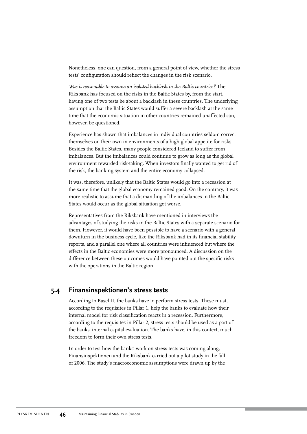Nonetheless, one can question, from a general point of view, whether the stress tests' configuration should reflect the changes in the risk scenario.

*Was it reasonable to assume an isolated backlash in the Baltic countries?* The Riksbank has focused on the risks in the Baltic States by, from the start, having one of two tests be about a backlash in these countries. The underlying assumption that the Baltic States would suffer a severe backlash at the same time that the economic situation in other countries remained unaffected can, however, be questioned.

Experience has shown that imbalances in individual countries seldom correct themselves on their own in environments of a high global appetite for risks. Besides the Baltic States, many people considered Iceland to suffer from imbalances. But the imbalances could continue to grow as long as the global environment rewarded risk-taking. When investors finally wanted to get rid of the risk, the banking system and the entire economy collapsed.

It was, therefore, unlikely that the Baltic States would go into a recession at the same time that the global economy remained good. On the contrary, it was more realistic to assume that a dismantling of the imbalances in the Baltic States would occur as the global situation got worse.

Representatives from the Riksbank have mentioned in interviews the advantages of studying the risks in the Baltic States with a separate scenario for them. However, it would have been possible to have a scenario with a general downturn in the business cycle, like the Riksbank had in its financial stability reports, and a parallel one where all countries were influenced but where the effects in the Baltic economies were more pronounced. A discussion on the difference between these outcomes would have pointed out the specific risks with the operations in the Baltic region.

## **5.4 Finansinspektionen's stress tests**

According to Basel II, the banks have to perform stress tests. These must, according to the requisites in Pillar 1, help the banks to evaluate how their internal model for risk classification reacts in a recession. Furthermore, according to the requisites in Pillar 2, stress tests should be used as a part of the banks' internal capital evaluation. The banks have, in this context, much freedom to form their own stress tests.

In order to test how the banks' work on stress tests was coming along, Finansinspektionen and the Riksbank carried out a pilot study in the fall of 2006. The study's macroeconomic assumptions were drawn up by the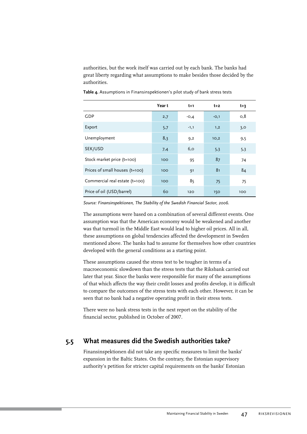authorities, but the work itself was carried out by each bank. The banks had great liberty regarding what assumptions to make besides those decided by the authorities.

**Table 4.** Assumptions in Finansinspektionen's pilot study of bank stress tests

|                                | Year t | t+1    | $t+2$          | $t+3$ |
|--------------------------------|--------|--------|----------------|-------|
| GDP                            | 2,7    | $-0,4$ | $-0,1$         | O,8   |
| Export                         | 5,7    | $-1,1$ | 1,2            | 3,0   |
| Unemployment                   | 8,3    | 9,2    | 10,2           | 9,5   |
| SEK/USD                        | 7,4    | 6,0    | 5,3            | 5,3   |
| Stock market price (t=100)     | 100    | 95     | 87             | 74    |
| Prices of small houses (t=100) | 100    | 91     | 8 <sub>1</sub> | 84    |
| Commercial real estate (t=100) | 100    | 85     | 75             | 75    |
| Price of oil (USD/barrel)      | 60     | 120    | 150            | 100   |

*Source: Finansinspektionen, The Stability of the Swedish Financial Sector, 2006.*

The assumptions were based on a combination of several different events. One assumption was that the American economy would be weakened and another was that turmoil in the Middle East would lead to higher oil prices. All in all, these assumptions on global tendencies affected the development in Sweden mentioned above. The banks had to assume for themselves how other countries developed with the general conditions as a starting point.

These assumptions caused the stress test to be tougher in terms of a macroeconomic slowdown than the stress tests that the Riksbank carried out later that year. Since the banks were responsible for many of the assumptions of that which affects the way their credit losses and profits develop, it is difficult to compare the outcomes of the stress tests with each other. However, it can be seen that no bank had a negative operating profit in their stress tests.

There were no bank stress tests in the next report on the stability of the financial sector, published in October of 2007.

# **5.5 What measures did the Swedish authorities take?**

Finansinspektionen did not take any specific measures to limit the banks' expansion in the Baltic States. On the contrary, the Estonian supervisory authority's petition for stricter capital requirements on the banks' Estonian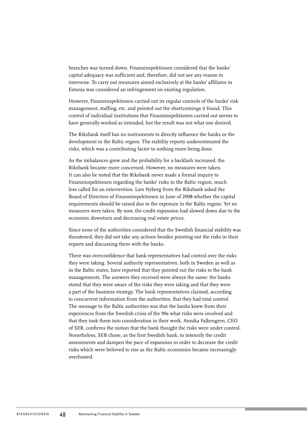branches was turned down. Finansinspektionen considered that the banks' capital adequacy was sufficient and, therefore, did not see any reason to intervene. To carry out measures aimed exclusively at the banks' affiliates in Estonia was considered an infringement on existing regulation.

However, Finansinspektionen carried out its regular controls of the banks' risk management, staffing, etc. and pointed out the shortcomings it found. This control of individual institutions that Finansinspektionen carried out seems to have generally worked as intended, but the result was not what one desired.

The Riksbank itself has no instruments to directly influence the banks or the development in the Baltic region. The stability reports underestimated the risks, which was a contributing factor to nothing more being done.

As the imbalances grew and the probability for a backlash increased, the Riksbank became more concerned. However, no measures were taken. It can also be noted that the Riksbank never made a formal inquiry to Finansinspektionen regarding the banks' risks in the Baltic region, much less called for an intervention. Lars Nyberg from the Riksbank asked the Board of Directors of Finansinspektionen in June of 2008 whether the capital requirements should be raised due to the exposure in the Baltic region. Yet no measures were taken. By now, the credit expansion had slowed down due to the economic downturn and decreasing real estate prices.

Since none of the authorities considered that the Swedish financial stability was threatened, they did not take any actions besides pointing out the risks in their reports and discussing them with the banks.

There was overconfidence that bank representatives had control over the risks they were taking. Several authority representatives, both in Sweden as well as in the Baltic states, have reported that they pointed out the risks to the bank managements. The answers they received were always the same: the banks stated that they were aware of the risks they were taking and that they were a part of the business strategy. The bank representatives claimed, according to concurrent information from the authorities, that they had total control. The message to the Baltic authorities was that the banks knew from their experiences from the Swedish crisis of the 90s what risks were involved and that they took them into consideration in their work. Annika Falkengren, CEO of SEB, confirms the notion that the bank thought the risks were under control. Nonetheless, SEB chose, as the first Swedish bank, to intensify the credit assessments and dampen the pace of expansion in order to decrease the credit risks which were believed to rise as the Baltic economies became increasingly overheated.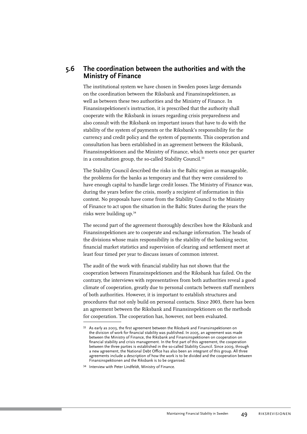# **5.6 The coordination between the authorities and with the Ministry of Finance**

The institutional system we have chosen in Sweden poses large demands on the coordination between the Riksbank and Finansinspektionen, as well as between these two authorities and the Ministry of Finance. In Finansinspektionen's instruction, it is prescribed that the authority shall cooperate with the Riksbank in issues regarding crisis preparedness and also consult with the Riksbank on important issues that have to do with the stability of the system of payments or the Riksbank's responsibility for the currency and credit policy and the system of payments. This cooperation and consultation has been established in an agreement between the Riksbank, Finansinspektionen and the Ministry of Finance, which meets once per quarter in a consultation group, the so-called Stability Council.<sup>33</sup>

The Stability Council described the risks in the Baltic region as manageable, the problems for the banks as temporary and that they were considered to have enough capital to handle large credit losses. The Ministry of Finance was, during the years before the crisis, mostly a recipient of information in this context. No proposals have come from the Stability Council to the Ministry of Finance to act upon the situation in the Baltic States during the years the risks were building up.34

The second part of the agreement thoroughly describes how the Riksbank and Finansinspektionen are to cooperate and exchange information. The heads of the divisions whose main responsibility is the stability of the banking sector, financial market statistics and supervision of clearing and settlement meet at least four timed per year to discuss issues of common interest.

The audit of the work with financial stability has not shown that the cooperation between Finansinspektionen and the Riksbank has failed. On the contrary, the interviews with representatives from both authorities reveal a good climate of cooperation, greatly due to personal contacts between staff members of both authorities. However, it is important to establish structures and procedures that not only build on personal contacts. Since 2003, there has been an agreement between the Riksbank and Finansinspektionen on the methods for cooperation. The cooperation has, however, not been evaluated.

34 Interview with Peter Lindfeldt, Ministry of Finance.

<sup>33</sup> As early as 2003, the first agreement between the Riksbank and Finansinspektionen on the division of work for financial stability was published. In 2005, an agreement was made between the Ministry of Finance, the Riksbank and Finansinspektionen on cooperation on financial stability and crisis management. In the first part of this agreement, the cooperation between the three parties is established in the so-called Stability Council. Since 2009, through a new agreement, the National Debt Office has also been an integrant of this group. All three agreements include a description of how the work is to be divided and the cooperation between Finansinspektionen and the Riksbank is to be organised.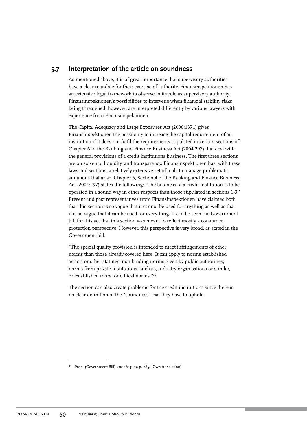# **5.7 Interpretation of the article on soundness**

As mentioned above, it is of great importance that supervisory authorities have a clear mandate for their exercise of authority. Finansinspektionen has an extensive legal framework to observe in its role as supervisory authority. Finansinspektionen's possibilities to intervene when financial stability risks being threatened, however, are interpreted differently by various lawyers with experience from Finansinspektionen.

The Capital Adequacy and Large Exposures Act (2006:1371) gives Finansinspektionen the possibility to increase the capital requirement of an institution if it does not fulfil the requirements stipulated in certain sections of Chapter 6 in the Banking and Finance Business Act (2004:297) that deal with the general provisions of a credit institutions business. The first three sections are on solvency, liquidity, and transparency. Finansinspektionen has, with these laws and sections, a relatively extensive set of tools to manage problematic situations that arise. Chapter 6, Section 4 of the Banking and Finance Business Act (2004:297) states the following: "The business of a credit institution is to be operated in a sound way in other respects than those stipulated in sections 1-3." Present and past representatives from Finansinspektionen have claimed both that this section is so vague that it cannot be used for anything as well as that it is so vague that it can be used for everything. It can be seen the Government bill for this act that this section was meant to reflect mostly a consumer protection perspective. However, this perspective is very broad, as stated in the Government bill:

"The special quality provision is intended to meet infringements of other norms than those already covered here. It can apply to norms established as acts or other statutes, non-binding norms given by public authorities, norms from private institutions, such as, industry organisations or similar, or established moral or ethical norms."35

The section can also create problems for the credit institutions since there is no clear definition of the "soundness" that they have to uphold.

<sup>35</sup> Prop. (Government Bill) 2002/03:139 p. 285. (Own translation)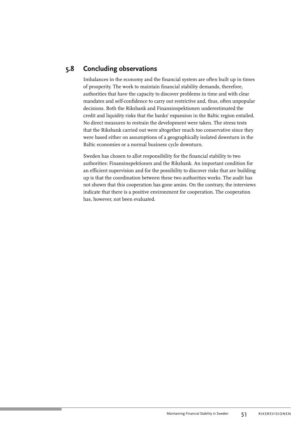# **5.8 Concluding observations**

Imbalances in the economy and the financial system are often built up in times of prosperity. The work to maintain financial stability demands, therefore, authorities that have the capacity to discover problems in time and with clear mandates and self-confidence to carry out restrictive and, thus, often unpopular decisions. Both the Riksbank and Finansinspektionen underestimated the credit and liquidity risks that the banks' expansion in the Baltic region entailed. No direct measures to restrain the development were taken. The stress tests that the Riksbank carried out were altogether much too conservative since they were based either on assumptions of a geographically isolated downturn in the Baltic economies or a normal business cycle downturn.

Sweden has chosen to allot responsibility for the financial stability to two authorities: Finansinspektionen and the Riksbank. An important condition for an efficient supervision and for the possibility to discover risks that are building up is that the coordination between these two authorities works. The audit has not shown that this cooperation has gone amiss. On the contrary, the interviews indicate that there is a positive environment for cooperation. The cooperation has, however, not been evaluated.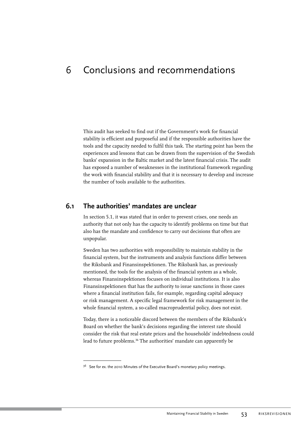# 6 Conclusions and recommendations

This audit has seeked to find out if the Government's work for financial stability is efficient and purposeful and if the responsible authorities have the tools and the capacity needed to fulfil this task. The starting point has been the experiences and lessons that can be drawn from the supervision of the Swedish banks' expansion in the Baltic market and the latest financial crisis. The audit has exposed a number of weaknesses in the institutional framework regarding the work with financial stability and that it is necessary to develop and increase the number of tools available to the authorities.

## **6.1 The authorities' mandates are unclear**

In section 5.1, it was stated that in order to prevent crises, one needs an authority that not only has the capacity to identify problems on time but that also has the mandate and confidence to carry out decisions that often are unpopular.

Sweden has two authorities with responsibility to maintain stability in the financial system, but the instruments and analysis functions differ between the Riksbank and Finansinspektionen. The Riksbank has, as previously mentioned, the tools for the analysis of the financial system as a whole, whereas Finansinspektionen focuses on individual institutions. It is also Finansinspektionen that has the authority to issue sanctions in those cases where a financial institution fails, for example, regarding capital adequacy or risk management. A specific legal framework for risk management in the whole financial system, a so-called macroprudential policy, does not exist.

Today, there is a noticeable discord between the members of the Riksbank's Board on whether the bank's decisions regarding the interest rate should consider the risk that real estate prices and the households' indebtedness could lead to future problems.<sup>36</sup> The authorities' mandate can apparently be

<sup>&</sup>lt;sup>36</sup> See for ex. the 2010 Minutes of the Executive Board's monetary policy meetings.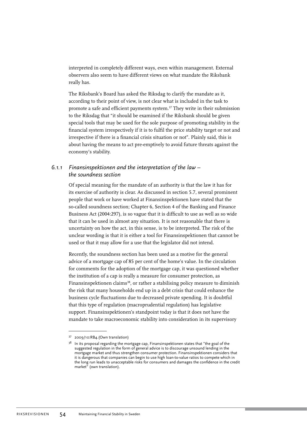interpreted in completely different ways, even within management. External observers also seem to have different views on what mandate the Riksbank really has.

The Riksbank's Board has asked the Riksdag to clarify the mandate as it, according to their point of view, is not clear what is included in the task to promote a safe and efficient payments system.37 They write in their submission to the Riksdag that "it should be examined if the Riksbank should be given special tools that may be used for the sole purpose of promoting stability in the financial system irrespectively if it is to fulfil the price stability target or not and irrespective if there is a financial crisis situation or not". Plainly said, this is about having the means to act pre-emptively to avoid future threats against the economy's stability.

### *6.1.1 Finansinspektionen and the interpretation of the law – the soundness section*

Of special meaning for the mandate of an authority is that the law it has for its exercise of authority is clear. As discussed in section 5.7, several prominent people that work or have worked at Finansinspektionen have stated that the so-called soundness section; Chapter 6, Section 4 of the Banking and Finance Business Act (2004:297), is so vague that it is difficult to use as well as so wide that it can be used in almost any situation. It is not reasonable that there is uncertainty on how the act, in this sense, is to be interpreted. The risk of the unclear wording is that it is either a tool for Finansinspektionen that cannot be used or that it may allow for a use that the legislator did not intend.

Recently, the soundness section has been used as a motive for the general advice of a mortgage cap of 85 per cent of the home's value. In the circulation for comments for the adoption of the mortgage cap, it was questioned whether the institution of a cap is really a measure for consumer protection, as Finansinspektionen claims<sup>38</sup>, or rather a stabilising policy measure to diminish the risk that many households end up in a debt crisis that could enhance the business cycle fluctuations due to decreased private spending. It is doubtful that this type of regulation (macroprudential regulation) has legislative support. Finansinspektionen's standpoint today is that it does not have the mandate to take macroeconomic stability into consideration in its supervisory

<sup>37</sup> 2009/10:RB4.(Own translation)

 $38$  In its proposal regarding the mortgage cap, Finansinspektionen states that "the goal of the suggested regulation in the form of general advice is to discourage unsound lending in the mortgage market and thus strengthen consumer protection. Finansinspektionen considers that it is dangerous that companies can begin to use high loan-to-value ratios to compete which in the long run leads to unacceptable risks for consumers and damages the confidence in the credit market" (own translation).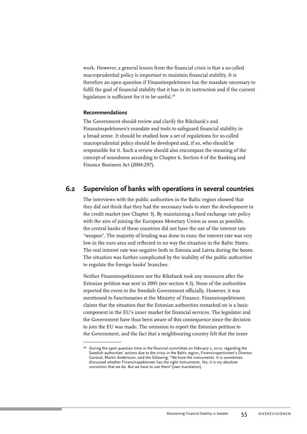work. However, a general lesson from the financial crisis is that a so-called macroprudential policy is important to maintain financial stability. It is therefore an open question if Finansinspektionen has the mandate necessary to fulfil the goal of financial stability that it has in its instruction and if the current legislature is sufficient for it to be useful.<sup>39</sup>

#### **Recommendations**

The Government should review and clarify the Riksbank's and Finansinspektionen's mandate and tools to safeguard financial stability in a broad sense. It should be studied how a set of regulations for so-called macroprudential policy should be developed and, if so, who should be responsible for it. Such a review should also encompass the meaning of the concept of soundness according to Chapter 6, Section 4 of the Banking and Finance Business Act (2004:297).

## **6.2 Supervision of banks with operations in several countries**

The interviews with the public authorities in the Baltic region showed that they did not think that they had the necessary tools to steer the development in the credit market (see Chapter 3). By maintaining a fixed exchange rate policy with the aim of joining the European Monetary Union as soon as possible, the central banks of these countries did not have the use of the interest rate "weapon". The majority of lending was done in euro; the interest rate was very low in the euro area and reflected in no way the situation in the Baltic States. The real interest rate was negative both in Estonia and Latvia during the boom. The situation was further complicated by the inability of the public authorities to regulate the foreign banks' branches.

Neither Finansinspektionen nor the Riksbank took any measures after the Estonian petition was sent in 2005 (see section 4.3). None of the authorities reported the event to the Swedish Government officially. However, it was mentioned to functionaries at the Ministry of Finance. Finansinspektionen claims that the situation that the Estonian authorities remarked on is a basic component in the EU's inner market for financial services. The legislator and the Government have thus been aware of this consequence since the decision to join the EU was made. The omission to report the Estonian petition to the Government, and the fact that a neighbouring country felt that the inner

<sup>&</sup>lt;sup>39</sup> During the open question time in the financial committee on February 2, 2010, regarding the Swedish authorities' actions due to the crisis in the Baltic region, Finansinspectionen's Director General, Martin Andersson, said the following: "We have the instruments. It is sometimes discussed whether Finansinspektionen has the right instruments. Yes, it is my absolute conviction that we do. But we have to use them"(own translation).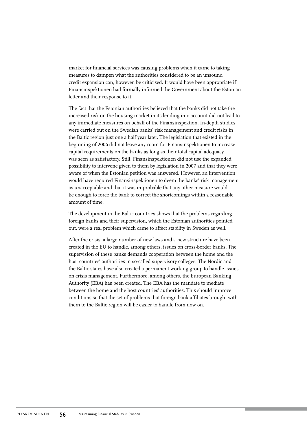market for financial services was causing problems when it came to taking measures to dampen what the authorities considered to be an unsound credit expansion can, however, be criticised. It would have been appropriate if Finansinspektionen had formally informed the Government about the Estonian letter and their response to it.

The fact that the Estonian authorities believed that the banks did not take the increased risk on the housing market in its lending into account did not lead to any immediate measures on behalf of the Finansinspektion. In-depth studies were carried out on the Swedish banks' risk management and credit risks in the Baltic region just one a half year later. The legislation that existed in the beginning of 2006 did not leave any room for Finansinspektionen to increase capital requirements on the banks as long as their total capital adequacy was seen as satisfactory. Still, Finansinspektionen did not use the expanded possibility to intervene given to them by legislation in 2007 and that they were aware of when the Estonian petition was answered. However, an intervention would have required Finansinspektionen to deem the banks' risk management as unacceptable and that it was improbable that any other measure would be enough to force the bank to correct the shortcomings within a reasonable amount of time.

The development in the Baltic countries shows that the problems regarding foreign banks and their supervision, which the Estonian authorities pointed out, were a real problem which came to affect stability in Sweden as well.

After the crisis, a large number of new laws and a new structure have been created in the EU to handle, among others, issues on cross-border banks. The supervision of these banks demands cooperation between the home and the host countries' authorities in so-called supervisory colleges. The Nordic and the Baltic states have also created a permanent working group to handle issues on crisis management. Furthermore, among others, the European Banking Authority (EBA) has been created. The EBA has the mandate to mediate between the home and the host countries' authorities. This should improve conditions so that the set of problems that foreign bank affiliates brought with them to the Baltic region will be easier to handle from now on.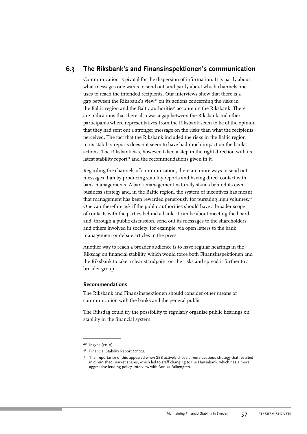# **6.3 The Riksbank's and Finansinspektionen's communication**

Communication is pivotal for the dispersion of information. It is partly about what messages one wants to send out, and partly about which channels one uses to reach the intended recipients. Our interviews show that there is a gap between the Riksbank's view<sup>40</sup> on its actions concerning the risks in the Baltic region and the Baltic authorities' account on the Riksbank. There are indications that there also was a gap between the Riksbank and other participants where representatives from the Riksbank seem to be of the opinion that they had sent out a stronger message on the risks than what the recipients perceived. The fact that the Riksbank included the risks in the Baltic region in its stability reports does not seem to have had much impact on the banks' actions. The Riksbank has, however, taken a step in the right direction with its latest stability report<sup>41</sup> and the recommendations given in it.

Regarding the channels of communication, there are more ways to send out messages than by producing stability reports and having direct contact with bank managements. A bank management naturally stands behind its own business strategy and, in the Baltic region, the system of incentives has meant that management has been rewarded generously for pursuing high volumes.<sup>42</sup> One can therefore ask if the public authorities should have a broader scope of contacts with the parties behind a bank. It can be about meeting the board and, through a public discussion, send out its messages to the shareholders and others involved in society; for example, via open letters to the bank management or debate articles in the press.

Another way to reach a broader audience is to have regular hearings in the Riksdag on financial stability, which would force both Finansinspektionen and the Riksbank to take a clear standpoint on the risks and spread it further to a broader group.

#### **Recommendations**

The Riksbank and Finansinspektionen should consider other means of communication with the banks and the general public.

The Riksdag could try the possibility to regularly organise public hearings on stability in the financial system.

<sup>40</sup> Ingves (2010).

<sup>41</sup> Financial Stability Report 2010:2.

<sup>&</sup>lt;sup>42</sup> The importance of this appeared when SEB actively chose a more cautious strategy that resulted in diminished market shares, which led to staff changing to the Hansabank, which has a more aggressive lending policy. Interview with Annika Falkengren.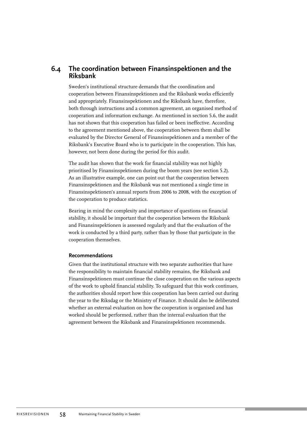## **6.4 The coordination between Finansinspektionen and the Riksbank**

Sweden's institutional structure demands that the coordination and cooperation between Finansinspektionen and the Riksbank works efficiently and appropriately. Finansinspektionen and the Riksbank have, therefore, both through instructions and a common agreement, an organised method of cooperation and information exchange. As mentioned in section 5.6, the audit has not shown that this cooperation has failed or been ineffective. According to the agreement mentioned above, the cooperation between them shall be evaluated by the Director General of Finansinspektionen and a member of the Riksbank's Executive Board who is to participate in the cooperation. This has, however, not been done during the period for this audit.

The audit has shown that the work for financial stability was not highly prioritised by Finansinspektionen during the boom years (see section 5.2). As an illustrative example, one can point out that the cooperation between Finansinspektionen and the Riksbank was not mentioned a single time in Finansinspektionen's annual reports from 2006 to 2008, with the exception of the cooperation to produce statistics.

Bearing in mind the complexity and importance of questions on financial stability, it should be important that the cooperation between the Riksbank and Finansinspektionen is assessed regularly and that the evaluation of the work is conducted by a third party, rather than by those that participate in the cooperation themselves.

#### **Recommendations**

Given that the institutional structure with two separate authorities that have the responsibility to maintain financial stability remains, the Riksbank and Finansinspektionen must continue the close cooperation on the various aspects of the work to uphold financial stability. To safeguard that this work continues, the authorities should report how this cooperation has been carried out during the year to the Riksdag or the Ministry of Finance. It should also be deliberated whether an external evaluation on how the cooperation is organised and has worked should be performed, rather than the internal evaluation that the agreement between the Riksbank and Finansinspektionen recommends.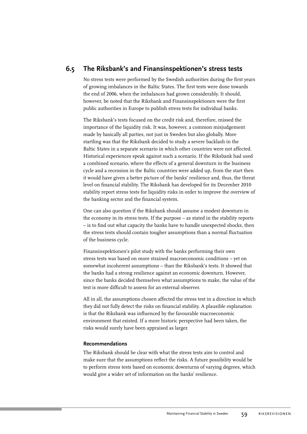# **6.5 The Riksbank's and Finansinspektionen's stress tests**

No stress tests were performed by the Swedish authorities during the first years of growing imbalances in the Baltic States. The first tests were done towards the end of 2006, when the imbalances had grown considerably. It should, however, be noted that the Riksbank and Finansinspektionen were the first public authorities in Europe to publish stress tests for individual banks.

The Riksbank's tests focused on the credit risk and, therefore, missed the importance of the liquidity risk. It was, however, a common misjudgement made by basically all parties, not just in Sweden but also globally. More startling was that the Riksbank decided to study a severe backlash in the Baltic States in a separate scenario in which other countries were not affected. Historical experiences speak against such a scenario. If the Riksbank had used a combined scenario, where the effects of a general downturn in the business cycle and a recession in the Baltic countries were added up, from the start then it would have given a better picture of the banks' resilience and, thus, the threat level on financial stability. The Riksbank has developed for its December 2010 stability report stress tests for liquidity risks in order to improve the overview of the banking sector and the financial system.

One can also question if the Riksbank should assume a modest downturn in the economy in its stress tests. If the purpose – as stated in the stability reports – is to find out what capacity the banks have to handle unexpected shocks, then the stress tests should contain tougher assumptions than a normal fluctuation of the business cycle.

Finansinspektionen's pilot study with the banks performing their own stress tests was based on more strained macroeconomic conditions – yet on somewhat incoherent assumptions – than the Riksbank's tests. It showed that the banks had a strong resilience against an economic downturn. However, since the banks decided themselves what assumptions to make, the value of the test is more difficult to assess for an external observer.

All in all, the assumptions chosen affected the stress test in a direction in which they did not fully detect the risks on financial stability. A plausible explanation is that the Riksbank was influenced by the favourable macroeconomic environment that existed. If a more historic perspective had been taken, the risks would surely have been appraised as larger.

#### **Recommendations**

The Riksbank should be clear with what the stress tests aim to control and make sure that the assumptions reflect the risks. A future possibility would be to perform stress tests based on economic downturns of varying degrees, which would give a wider set of information on the banks' resilience.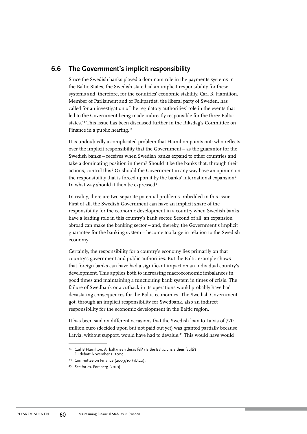## **6.6 The Government's implicit responsibility**

Since the Swedish banks played a dominant role in the payments systems in the Baltic States, the Swedish state had an implicit responsibility for these systems and, therefore, for the countries' economic stability. Carl B. Hamilton, Member of Parliament and of Folkpartiet, the liberal party of Sweden, has called for an investigation of the regulatory authorities' role in the events that led to the Government being made indirectly responsible for the three Baltic states.43 This issue has been discussed further in the Riksdag's Committee on Finance in a public hearing.<sup>44</sup>

It is undoubtedly a complicated problem that Hamilton points out: who reflects over the implicit responsibility that the Government – as the guarantor for the Swedish banks – receives when Swedish banks expand to other countries and take a dominating position in them? Should it be the banks that, through their actions, control this? Or should the Government in any way have an opinion on the responsibility that is forced upon it by the banks' international expansion? In what way should it then be expressed?

In reality, there are two separate potential problems imbedded in this issue. First of all, the Swedish Government can have an implicit share of the responsibility for the economic development in a country when Swedish banks have a leading role in this country's bank sector. Second of all, an expansion abroad can make the banking sector – and, thereby, the Government's implicit guarantee for the banking system – become too large in relation to the Swedish economy.

Certainly, the responsibility for a country's economy lies primarily on that country's government and public authorities. But the Baltic example shows that foreign banks can have had a significant impact on an individual country's development. This applies both to increasing macroeconomic imbalances in good times and maintaining a functioning bank system in times of crisis. The failure of Swedbank or a cutback in its operations would probably have had devastating consequences for the Baltic economies. The Swedish Government got, through an implicit responsibility for Swedbank, also an indirect responsibility for the economic development in the Baltic region.

It has been said on different occasions that the Swedish loan to Latvia of 720 million euro (decided upon but not paid out yet) was granted partially because Latvia, without support, would have had to devalue.<sup>45</sup> This would have would

<sup>43</sup> Carl B Hamilton, Är baltkrisen deras fel? (Is the Baltic crisis their fault?) DI debatt November 5, 2009.

<sup>44</sup> Committee on Finance (2009/10 FiU:20).

<sup>45</sup> See for ex. Forsberg (2010).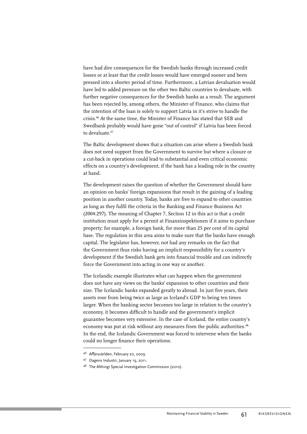have had dire consequences for the Swedish banks through increased credit losses or at least that the credit losses would have emerged sooner and been pressed into a shorter period of time. Furthermore, a Latvian devaluation would have led to added pressure on the other two Baltic countries to devaluate, with further negative consequences for the Swedish banks as a result. The argument has been rejected by, among others, the Minister of Finance, who claims that the intention of the loan is solely to support Latvia in it's strive to handle the crisis.46 At the same time, the Minister of Finance has stated that SEB and Swedbank probably would have gone "out of control" if Latvia has been forced to devaluate.<sup>47</sup>

The Baltic development shows that a situation can arise where a Swedish bank does not need support from the Government to survive but where a closure or a cut-back in operations could lead to substantial and even critical economic effects on a country's development, if the bank has a leading role in the country at hand.

The development raises the question of whether the Government should have an opinion on banks' foreign expansions that result in the gaining of a leading position in another country. Today, banks are free to expand to other countries as long as they fulfil the criteria in the Banking and Finance Business Act (2004:297). The meaning of Chapter 7, Section 12 in this act is that a credit institution must apply for a permit at Finansinspektionen if it aims to purchase property; for example, a foreign bank, for more than 25 per cent of its capital base. The regulation in this area aims to make sure that the banks have enough capital. The legislator has, however, not had any remarks on the fact that the Government thus risks having an implicit responsibility for a country's development if the Swedish bank gets into financial trouble and can indirectly force the Government into acting in one way or another.

The Icelandic example illustrates what can happen when the government does not have any views on the banks' expansion to other countries and their size. The Icelandic banks expanded greatly to abroad. In just five years, their assets rose from being twice as large as Iceland's GDP to being ten times larger. When the banking sector becomes too large in relation to the country's economy, it becomes difficult to handle and the government's implicit guarantee becomes very extensive. In the case of Iceland, the entire country's economy was put at risk without any measures from the public authorities.<sup>48</sup> In the end, the Icelandic Government was forced to intervene when the banks could no longer finance their operations.

<sup>46</sup> Affärsvärlden, February 20, 2009.

<sup>47</sup> Dagens Industri, January 19, 2011.

<sup>48</sup> The Althingi Special Investigation Commission (2010).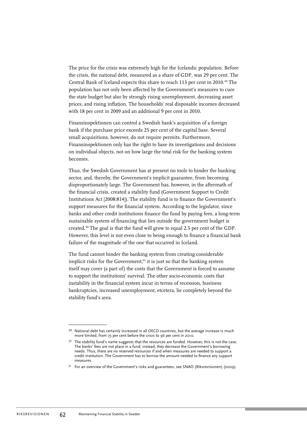The price for the crisis was extremely high for the Icelandic population. Before the crisis, the national debt, measured as a share of GDP, was 29 per cent. The Central Bank of Iceland expects this share to reach 113 per cent in 2010.49 The population has not only been affected by the Government's measures to cure the state budget but also by strongly rising unemployment, decreasing asset prices, and rising inflation. The households' real disposable incomes decreased with 18 per cent in 2009 and an additional 9 per cent in 2010.

Finansinspektionen can control a Swedish bank's acquisition of a foreign bank if the purchase price exceeds 25 per cent of the capital base. Several small acquisitions, however, do not require permits. Furthermore, Finansinspektionen only has the right to base its investigations and decisions on individual objects, not on how large the total risk for the banking system becomes.

Thus, the Swedish Government has at present no tools to hinder the banking sector, and, thereby, the Government's implicit guarantee, from becoming disproportionately large. The Government has, however, in the aftermath of the financial crisis, created a stability fund (Government Support to Credit Institutions Act [2008:814]). The stability fund is to finance the Government's support measures for the financial system. According to the legislator, since banks and other credit institutions finance the fund by paying fees, a long-term sustainable system of financing that lies outside the government budget is created.50 The goal is that the fund will grow to equal 2.5 per cent of the GDP. However, this level is not even close to being enough to finance a financial bank failure of the magnitude of the one that occurred in Iceland.

The fund cannot hinder the banking system from creating considerable implicit risks for the Government;<sup>51</sup> it is just so that the banking system itself may cover (a part of) the costs that the Government is forced to assume to support the institutions' survival. The other socio-economic costs that instability in the financial system incur in terms of recession, business bankruptcies, increased unemployment, etcetera, lie completely beyond the stability fund's area.

<sup>49</sup> National debt has certainly increased in all OECD countries, but the average increase is much more limited, from 73 per cent before the crisis to 96 per cent in 2010.

The stability fund's name suggests that the resources are funded. However, this is not the case. The banks' fees are not place in a fund; instead, they decrease the Government's borrowing needs. Thus, there are no reserved resources if and when measures are needed to support a credit institution. The Government has to borrow the amount needed to finance any support measures.

<sup>&</sup>lt;sup>51</sup> For an overview of the Government's risks and guarantees, see SNAO (Riksrevisionen) (2009).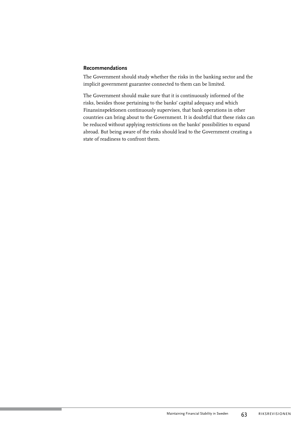#### **Recommendations**

The Government should study whether the risks in the banking sector and the implicit government guarantee connected to them can be limited.

The Government should make sure that it is continuously informed of the risks, besides those pertaining to the banks' capital adequacy and which Finansinspektionen continuously supervises, that bank operations in other countries can bring about to the Government. It is doubtful that these risks can be reduced without applying restrictions on the banks' possibilities to expand abroad. But being aware of the risks should lead to the Government creating a state of readiness to confront them.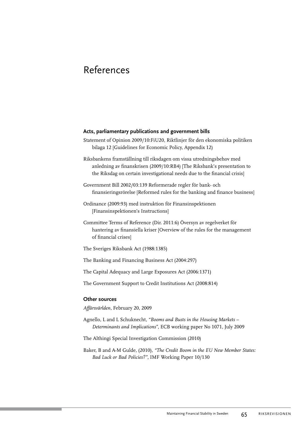# References

#### **Acts, parliamentary publications and government bills**

- Statement of Opinion 2009/10:FiU20, Riktlinjer för den ekonomiska politiken bilaga 12 [Guidelines for Economic Policy, Appendix 12)
- Riksbankens framställning till riksdagen om vissa utredningsbehov med anledning av finanskrisen (2009/10:RB4) [The Riksbank's presentation to the Riksdag on certain investigational needs due to the financial crisis]
- Government Bill 2002/03:139 Reformerade regler för bank- och finansieringsrörelse [Reformed rules for the banking and finance business]
- Ordinance (2009:93) med instruktion för Finansinspektionen [Finansinspektionen's Instructions]
- Committee Terms of Reference (Dir. 2011:6) Översyn av regelverket för hantering av finansiella kriser [Overview of the rules for the management of financial crises]
- The Sveriges Riksbank Act (1988:1385)
- The Banking and Financing Business Act (2004:297)
- The Capital Adequacy and Large Exposures Act (2006:1371)
- The Government Support to Credit Institutions Act (2008:814)

#### **Other sources**

- *Affärsvärlden,* February 20, 2009
- Agnello, L and L Schuknecht, *"Booms and Busts in the Housing Markets Determinants and Implications"*, ECB working paper No 1071, July 2009
- The Althingi Special Investigation Commission (2010)
- Baker, B and A-M Gulde, (2010), *"The Credit Boom in the EU New Member States: Bad Luck or Bad Policies?"*, IMF Working Paper 10/130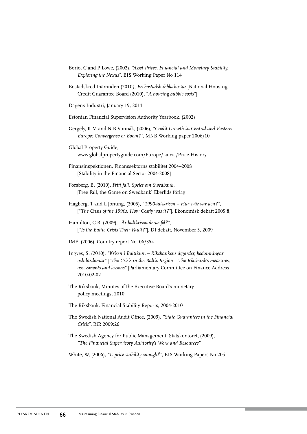- Borio, C and P Lowe, (2002), *"Asset Prices, Financial and Monetary Stability: Exploring the Nexus"*, BIS Working Paper No 114
- Bostadskreditnämnden (2010*), En bostadsbubbla kostar* [National Housing Credit Guarantee Board (2010), "*A housing bubble costs"*]

Dagens Industri, January 19, 2011

- Estonian Financial Supervision Authority Yearbook, (2002)
- Gergely, K-M and N-B Vonnák, (2006), *"Credit Growth in Central and Eastern Europe: Convergence or Boom?"*, MNB Working paper 2006/10
- Global Property Guide, www.globalpropertyguide.com/Europe/Latvia/Price-History
- Finansinspektionen, Finanssektorns stabilitet 2004–2008 [Stability in the Financial Sector 2004-2008]
- Forsberg, B, (2010), *Fritt fall, Spelet om Swedbank*, [Free Fall, the Game on Swedbank] Ekerlids förlag.
- Hagberg, T and L Jonung, (2005), "*1990-talskrisen Hur svår var den?"*, ["*The Crisis of the 1990s, How Costly was it?"*], Ekonomisk debatt 2005:8,
- Hamilton, C B, (2009), *"Är baltkrisen deras fel?"*, [*"Is the Baltic Crisis Their Fault?"*], DI debatt, November 5, 2009
- IMF, (2006), Country report No. 06/354
- Ingves, S, (2010), *"Krisen i Baltikum Riksbankens åtgärder, bedömningar och lärdomar"* [*"The Crisis in the Baltic Region – The Riksbank's measures, assessments and lessons"* ]Parliamentary Committee on Finance Address 2010-02-02
- The Riksbank, Minutes of the Executive Board's monetary policy meetings, 2010
- The Riksbank, Financial Stability Reports, 2004-2010
- The Swedish National Audit Office, (2009), *"State Guarantees in the Financial Crisis"*, RiR 2009:26
- The Swedish Agency for Public Management, Statskontoret, (2009), *"The Financial Supervisory Auhtority's Work and Resources"*

White, W, (2006), *"Is price stability enough?"*, BIS Working Papers No 205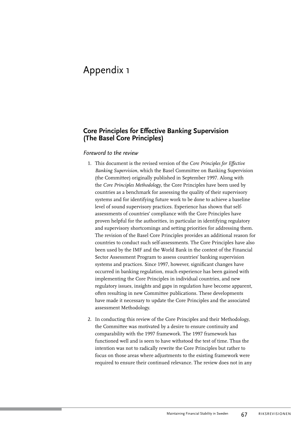# Appendix 1

## **Core Principles for Effective Banking Supervision (The Basel Core Principles)**

#### *Foreword to the review*

- 1. This document is the revised version of the *Core Principles for Effective Banking Supervision*, which the Basel Committee on Banking Supervision (the Committee) originally published in September 1997. Along with the *Core Principles Methodology*, the Core Principles have been used by countries as a benchmark for assessing the quality of their supervisory systems and for identifying future work to be done to achieve a baseline level of sound supervisory practices. Experience has shown that selfassessments of countries' compliance with the Core Principles have proven helpful for the authorities, in particular in identifying regulatory and supervisory shortcomings and setting priorities for addressing them. The revision of the Basel Core Principles provides an additional reason for countries to conduct such self-assessments. The Core Principles have also been used by the IMF and the World Bank in the context of the Financial Sector Assessment Program to assess countries' banking supervision systems and practices. Since 1997, however, significant changes have occurred in banking regulation, much experience has been gained with implementing the Core Principles in individual countries, and new regulatory issues, insights and gaps in regulation have become apparent, often resulting in new Committee publications. These developments have made it necessary to update the Core Principles and the associated assessment Methodology.
- 2. In conducting this review of the Core Principles and their Methodology, the Committee was motivated by a desire to ensure continuity and comparability with the 1997 framework. The 1997 framework has functioned well and is seen to have withstood the test of time. Thus the intention was not to radically rewrite the Core Principles but rather to focus on those areas where adjustments to the existing framework were required to ensure their continued relevance. The review does not in any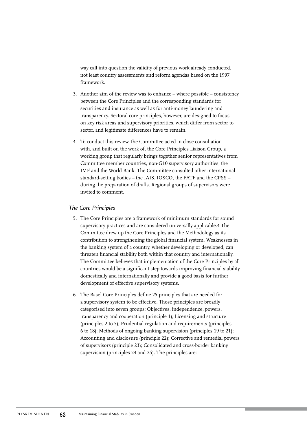way call into question the validity of previous work already conducted, not least country assessments and reform agendas based on the 1997 framework.

- 3. Another aim of the review was to enhance where possible consistency between the Core Principles and the corresponding standards for securities and insurance as well as for anti-money laundering and transparency. Sectoral core principles, however, are designed to focus on key risk areas and supervisory priorities, which differ from sector to sector, and legitimate differences have to remain.
- 4. To conduct this review, the Committee acted in close consultation with, and built on the work of, the Core Principles Liaison Group, a working group that regularly brings together senior representatives from Committee member countries, non-G10 supervisory authorities, the IMF and the World Bank. The Committee consulted other international standard-setting bodies – the IAIS, IOSCO, the FATF and the CPSS – during the preparation of drafts. Regional groups of supervisors were invited to comment.

#### *The Core Principles*

- 5. The Core Principles are a framework of minimum standards for sound supervisory practices and are considered universally applicable.4 The Committee drew up the Core Principles and the Methodology as its contribution to strengthening the global financial system. Weaknesses in the banking system of a country, whether developing or developed, can threaten financial stability both within that country and internationally. The Committee believes that implementation of the Core Principles by all countries would be a significant step towards improving financial stability domestically and internationally and provide a good basis for further development of effective supervisory systems.
- 6. The Basel Core Principles define 25 principles that are needed for a supervisory system to be effective. Those principles are broadly categorised into seven groups: Objectives, independence, powers, transparency and cooperation (principle 1); Licensing and structure (principles 2 to 5); Prudential regulation and requirements (principles 6 to 18); Methods of ongoing banking supervision (principles 19 to 21); Accounting and disclosure (principle 22); Corrective and remedial powers of supervisors (principle 23); Consolidated and cross-border banking supervision (principles 24 and 25). The principles are: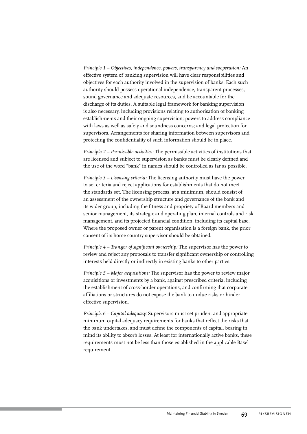*Principle 1 – Objectives, independence, powers, transparency and cooperation:* An effective system of banking supervision will have clear responsibilities and objectives for each authority involved in the supervision of banks. Each such authority should possess operational independence, transparent processes, sound governance and adequate resources, and be accountable for the discharge of its duties. A suitable legal framework for banking supervision is also necessary, including provisions relating to authorisation of banking establishments and their ongoing supervision; powers to address compliance with laws as well as safety and soundness concerns; and legal protection for supervisors. Arrangements for sharing information between supervisors and protecting the confidentiality of such information should be in place.

*Principle 2 – Permissible activities:* The permissible activities of institutions that are licensed and subject to supervision as banks must be clearly defined and the use of the word "bank" in names should be controlled as far as possible.

*Principle 3 – Licensing criteria:* The licensing authority must have the power to set criteria and reject applications for establishments that do not meet the standards set. The licensing process, at a minimum, should consist of an assessment of the ownership structure and governance of the bank and its wider group, including the fitness and propriety of Board members and senior management, its strategic and operating plan, internal controls and risk management, and its projected financial condition, including its capital base. Where the proposed owner or parent organisation is a foreign bank, the prior consent of its home country supervisor should be obtained.

*Principle 4 – Transfer of significant ownership:* The supervisor has the power to review and reject any proposals to transfer significant ownership or controlling interests held directly or indirectly in existing banks to other parties.

*Principle 5 – Major acquisitions:* The supervisor has the power to review major acquisitions or investments by a bank, against prescribed criteria, including the establishment of cross-border operations, and confirming that corporate affiliations or structures do not expose the bank to undue risks or hinder effective supervision.

*Principle 6 – Capital adequacy:* Supervisors must set prudent and appropriate minimum capital adequacy requirements for banks that reflect the risks that the bank undertakes, and must define the components of capital, bearing in mind its ability to absorb losses. At least for internationally active banks, these requirements must not be less than those established in the applicable Basel requirement.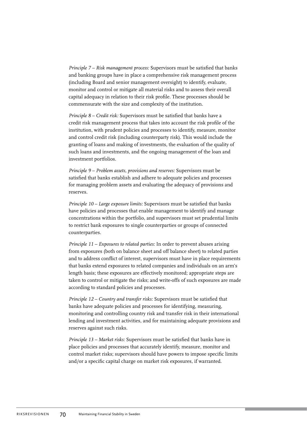*Principle 7 – Risk management process:* Supervisors must be satisfied that banks and banking groups have in place a comprehensive risk management process (including Board and senior management oversight) to identify, evaluate, monitor and control or mitigate all material risks and to assess their overall capital adequacy in relation to their risk profile. These processes should be commensurate with the size and complexity of the institution.

*Principle 8 – Credit risk:* Supervisors must be satisfied that banks have a credit risk management process that takes into account the risk profile of the institution, with prudent policies and processes to identify, measure, monitor and control credit risk (including counterparty risk). This would include the granting of loans and making of investments, the evaluation of the quality of such loans and investments, and the ongoing management of the loan and investment portfolios.

*Principle 9 – Problem assets, provisions and reserves:* Supervisors must be satisfied that banks establish and adhere to adequate policies and processes for managing problem assets and evaluating the adequacy of provisions and reserves.

*Principle 10 – Large exposure limits:* Supervisors must be satisfied that banks have policies and processes that enable management to identify and manage concentrations within the portfolio, and supervisors must set prudential limits to restrict bank exposures to single counterparties or groups of connected counterparties.

*Principle 11 – Exposures to related parties:* In order to prevent abuses arising from exposures (both on balance sheet and off balance sheet) to related parties and to address conflict of interest, supervisors must have in place requirements that banks extend exposures to related companies and individuals on an arm's length basis; these exposures are effectively monitored; appropriate steps are taken to control or mitigate the risks; and write-offs of such exposures are made according to standard policies and processes.

*Principle 12 – Country and transfer risks:* Supervisors must be satisfied that banks have adequate policies and processes for identifying, measuring, monitoring and controlling country risk and transfer risk in their international lending and investment activities, and for maintaining adequate provisions and reserves against such risks.

*Principle 13 – Market risks:* Supervisors must be satisfied that banks have in place policies and processes that accurately identify, measure, monitor and control market risks; supervisors should have powers to impose specific limits and/or a specific capital charge on market risk exposures, if warranted.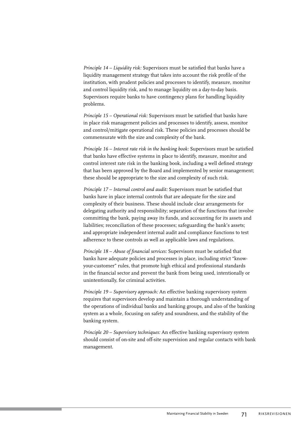*Principle 14 – Liquidity risk:* Supervisors must be satisfied that banks have a liquidity management strategy that takes into account the risk profile of the institution, with prudent policies and processes to identify, measure, monitor and control liquidity risk, and to manage liquidity on a day-to-day basis. Supervisors require banks to have contingency plans for handling liquidity problems.

*Principle 15 – Operational risk:* Supervisors must be satisfied that banks have in place risk management policies and processes to identify, assess, monitor and control/mitigate operational risk. These policies and processes should be commensurate with the size and complexity of the bank.

*Principle 16 – Interest rate risk in the banking book:* Supervisors must be satisfied that banks have effective systems in place to identify, measure, monitor and control interest rate risk in the banking book, including a well defined strategy that has been approved by the Board and implemented by senior management; these should be appropriate to the size and complexity of such risk.

*Principle 17 – Internal control and audit:* Supervisors must be satisfied that banks have in place internal controls that are adequate for the size and complexity of their business. These should include clear arrangements for delegating authority and responsibility; separation of the functions that involve committing the bank, paying away its funds, and accounting for its assets and liabilities; reconciliation of these processes; safeguarding the bank's assets; and appropriate independent internal audit and compliance functions to test adherence to these controls as well as applicable laws and regulations.

*Principle 18 – Abuse of financial services:* Supervisors must be satisfied that banks have adequate policies and processes in place, including strict "knowyour-customer" rules, that promote high ethical and professional standards in the financial sector and prevent the bank from being used, intentionally or unintentionally, for criminal activities.

*Principle 19 – Supervisory approach:* An effective banking supervisory system requires that supervisors develop and maintain a thorough understanding of the operations of individual banks and banking groups, and also of the banking system as a whole, focusing on safety and soundness, and the stability of the banking system.

*Principle 20 – Supervisory techniques:* An effective banking supervisory system should consist of on-site and off-site supervision and regular contacts with bank management.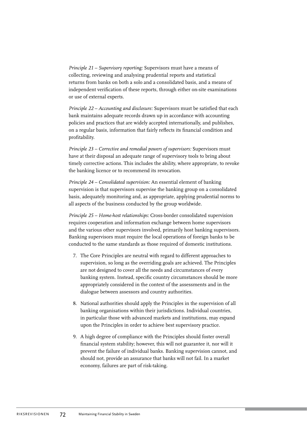*Principle 21 – Supervisory reporting:* Supervisors must have a means of collecting, reviewing and analysing prudential reports and statistical returns from banks on both a solo and a consolidated basis, and a means of independent verification of these reports, through either on-site examinations or use of external experts.

*Principle 22 – Accounting and disclosure:* Supervisors must be satisfied that each bank maintains adequate records drawn up in accordance with accounting policies and practices that are widely accepted internationally, and publishes, on a regular basis, information that fairly reflects its financial condition and profitability.

*Principle 23 – Corrective and remedial powers of supervisors:* Supervisors must have at their disposal an adequate range of supervisory tools to bring about timely corrective actions. This includes the ability, where appropriate, to revoke the banking licence or to recommend its revocation.

*Principle 24 – Consolidated supervision:* An essential element of banking supervision is that supervisors supervise the banking group on a consolidated basis, adequately monitoring and, as appropriate, applying prudential norms to all aspects of the business conducted by the group worldwide.

*Principle 25 – Home-host relationships:* Cross-border consolidated supervision requires cooperation and information exchange between home supervisors and the various other supervisors involved, primarily host banking supervisors. Banking supervisors must require the local operations of foreign banks to be conducted to the same standards as those required of domestic institutions.

- 7. The Core Principles are neutral with regard to different approaches to supervision, so long as the overriding goals are achieved. The Principles are not designed to cover all the needs and circumstances of every banking system. Instead, specific country circumstances should be more appropriately considered in the context of the assessments and in the dialogue between assessors and country authorities.
- 8. National authorities should apply the Principles in the supervision of all banking organisations within their jurisdictions. Individual countries, in particular those with advanced markets and institutions, may expand upon the Principles in order to achieve best supervisory practice.
- 9. A high degree of compliance with the Principles should foster overall financial system stability; however, this will not guarantee it, nor will it prevent the failure of individual banks. Banking supervision cannot, and should not, provide an assurance that banks will not fail. In a market economy, failures are part of risk-taking.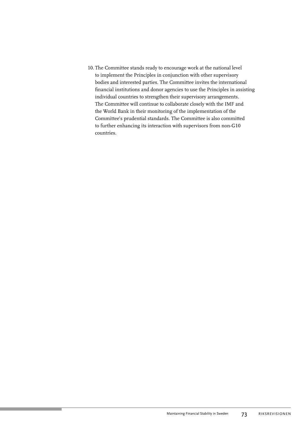10. The Committee stands ready to encourage work at the national level to implement the Principles in conjunction with other supervisory bodies and interested parties. The Committee invites the international financial institutions and donor agencies to use the Principles in assisting individual countries to strengthen their supervisory arrangements. The Committee will continue to collaborate closely with the IMF and the World Bank in their monitoring of the implementation of the Committee's prudential standards. The Committee is also committed to further enhancing its interaction with supervisors from non-G10 countries.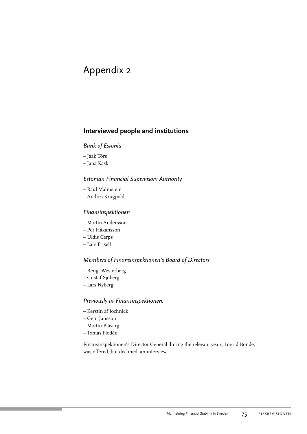# Appendix 2

## **Interviewed people and institutions**

## *Bank of Estonia*

- Jaak Tõrs
- Jana Kask

#### *Estonian Financial Supervisory Authority*

- Raul Malmstein
- Andres Krugpold

### *Finansinspektionen*

- Martin Andersson
- Per Håkansson
- Uldis Cerps
- Lars Frisell

## *Members of Finansinspektionen's Board of Directors*

- Bengt Westerberg
- Gustaf Sjöberg
- Lars Nyberg

#### *Previously at Finansinspektionen:*

- Kerstin af Jochnick
- Gent Jansson
- Martin Blåvarg
- Tomas Flodén

Finansinspektionen's Director General during the relevant years, Ingrid Bonde, was offered, but declined, an interview.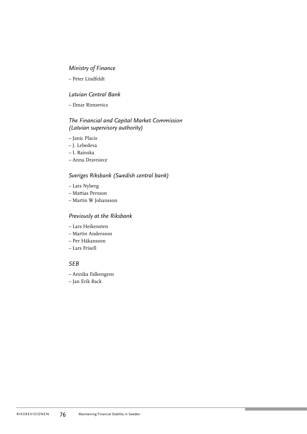## *Ministry of Finance*

– Peter Lindfeldt

#### *Latvian Central Bank*

– Ilmar Rimsevics

## *The Financial and Capital Market Commission (Latvian supervisory authority)*

- Janic Placis
- J. Lebedeva
- I. Rainska
- Anna Dravniece

## *Sveriges Riksbank (Swedish central bank)*

- Lars Nyberg
- Mattias Persson
- Martin W Johansson

### *Previously at the Riksbank*

- Lars Heikensten
- Martin Andersson
- Per Håkansson
- Lars Frisell

### *SEB*

- Annika Falkengren
- Jan Erik Back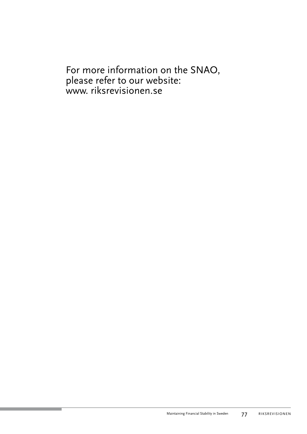## For more information on the SNAO, please refer to our website: www. riksrevisionen.se